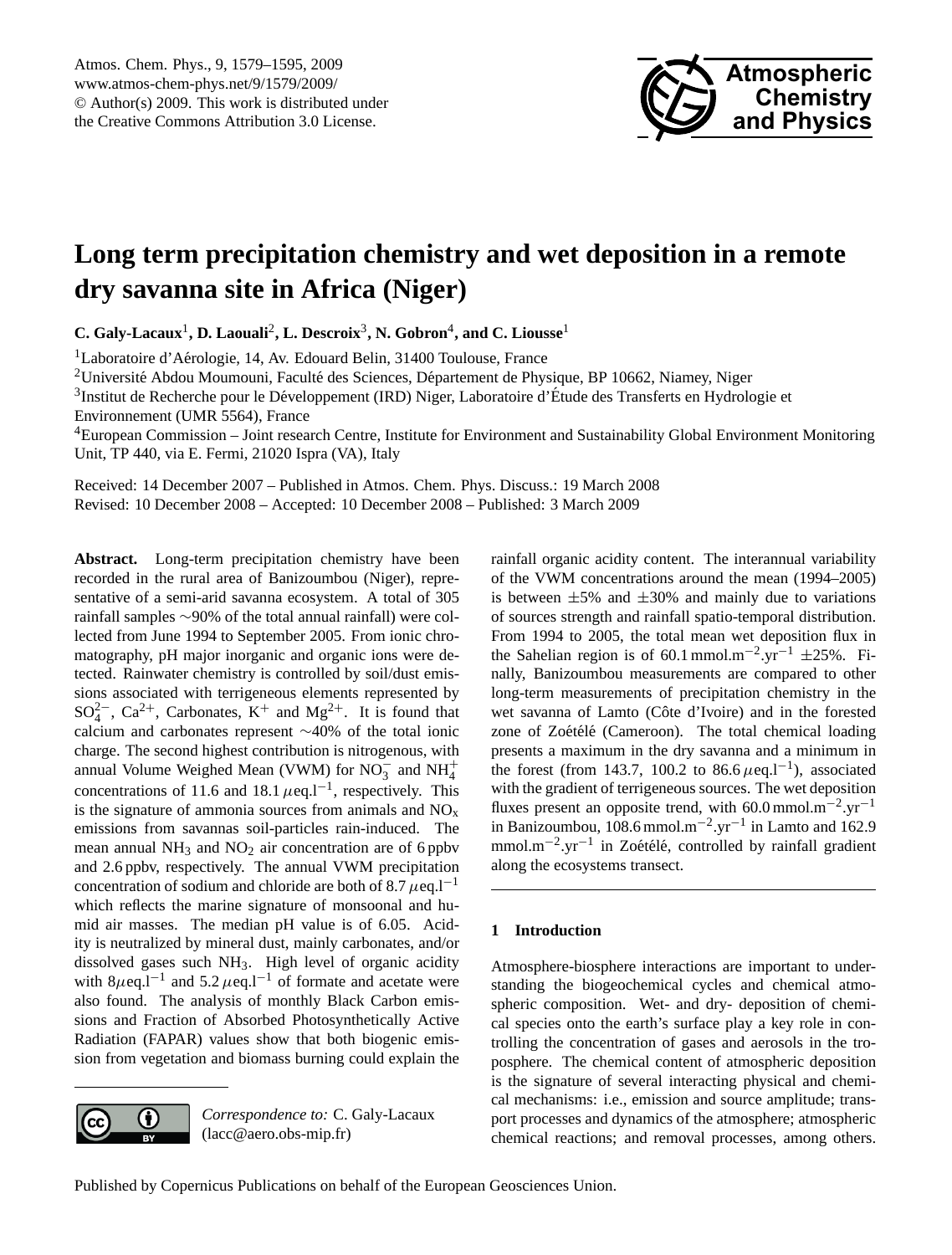

# <span id="page-0-0"></span>**Long term precipitation chemistry and wet deposition in a remote dry savanna site in Africa (Niger)**

**C. Galy-Lacaux**<sup>1</sup> **, D. Laouali**<sup>2</sup> **, L. Descroix**<sup>3</sup> **, N. Gobron**<sup>4</sup> **, and C. Liousse**<sup>1</sup>

<sup>1</sup>Laboratoire d'Aérologie, 14, Av. Edouard Belin, 31400 Toulouse, France

<sup>2</sup>Université Abdou Moumouni, Faculté des Sciences, Département de Physique, BP 10662, Niamey, Niger

<sup>3</sup>Institut de Recherche pour le Développement (IRD) Niger, Laboratoire d'Étude des Transferts en Hydrologie et Environnement (UMR 5564), France

<sup>4</sup>European Commission – Joint research Centre, Institute for Environment and Sustainability Global Environment Monitoring Unit, TP 440, via E. Fermi, 21020 Ispra (VA), Italy

Received: 14 December 2007 – Published in Atmos. Chem. Phys. Discuss.: 19 March 2008 Revised: 10 December 2008 – Accepted: 10 December 2008 – Published: 3 March 2009

**Abstract.** Long-term precipitation chemistry have been recorded in the rural area of Banizoumbou (Niger), representative of a semi-arid savanna ecosystem. A total of 305 rainfall samples ∼90% of the total annual rainfall) were collected from June 1994 to September 2005. From ionic chromatography, pH major inorganic and organic ions were detected. Rainwater chemistry is controlled by soil/dust emissions associated with terrigeneous elements represented by  $SO_4^{2-}$ ,  $Ca^{2+}$ , Carbonates,  $K^+$  and  $Mg^{2+}$ . It is found that calcium and carbonates represent ∼40% of the total ionic charge. The second highest contribution is nitrogenous, with annual Volume Weighed Mean (VWM) for NO<sub>3</sub> and NH<sup>+</sup><sub>4</sub> concentrations of 11.6 and 18.1  $\mu$ eq.l<sup>-1</sup>, respectively. This is the signature of ammonia sources from animals and  $NO<sub>x</sub>$ emissions from savannas soil-particles rain-induced. The mean annual  $NH_3$  and  $NO_2$  air concentration are of 6 ppbv and 2.6 ppbv, respectively. The annual VWM precipitation concentration of sodium and chloride are both of 8.7  $\mu$ eq.l<sup>-1</sup> which reflects the marine signature of monsoonal and humid air masses. The median pH value is of 6.05. Acidity is neutralized by mineral dust, mainly carbonates, and/or dissolved gases such NH3. High level of organic acidity with  $8\mu$ eq.l<sup>-1</sup> and  $5.2 \mu$ eq.l<sup>-1</sup> of formate and acetate were also found. The analysis of monthly Black Carbon emissions and Fraction of Absorbed Photosynthetically Active Radiation (FAPAR) values show that both biogenic emission from vegetation and biomass burning could explain the



*Correspondence to:* C. Galy-Lacaux (lacc@aero.obs-mip.fr)

rainfall organic acidity content. The interannual variability of the VWM concentrations around the mean (1994–2005) is between  $\pm 5\%$  and  $\pm 30\%$  and mainly due to variations of sources strength and rainfall spatio-temporal distribution. From 1994 to 2005, the total mean wet deposition flux in the Sahelian region is of 60.1 mmol.m<sup>-2</sup>.yr<sup>-1</sup>  $\pm$ 25%. Finally, Banizoumbou measurements are compared to other long-term measurements of precipitation chemistry in the wet savanna of Lamto (Côte d'Ivoire) and in the forested zone of Zoétélé (Cameroon). The total chemical loading presents a maximum in the dry savanna and a minimum in the forest (from 143.7, 100.2 to 86.6  $\mu$ eq.l<sup>-1</sup>), associated with the gradient of terrigeneous sources. The wet deposition fluxes present an opposite trend, with 60.0 mmol.m−<sup>2</sup> .yr−<sup>1</sup> in Banizoumbou,  $108.6$  mmol.m<sup>-2</sup>.yr<sup>-1</sup> in Lamto and 162.9 mmol.m<sup>-2</sup>.yr<sup>-1</sup> in Zoétélé, controlled by rainfall gradient along the ecosystems transect.

#### **1 Introduction**

Atmosphere-biosphere interactions are important to understanding the biogeochemical cycles and chemical atmospheric composition. Wet- and dry- deposition of chemical species onto the earth's surface play a key role in controlling the concentration of gases and aerosols in the troposphere. The chemical content of atmospheric deposition is the signature of several interacting physical and chemical mechanisms: i.e., emission and source amplitude; transport processes and dynamics of the atmosphere; atmospheric chemical reactions; and removal processes, among others.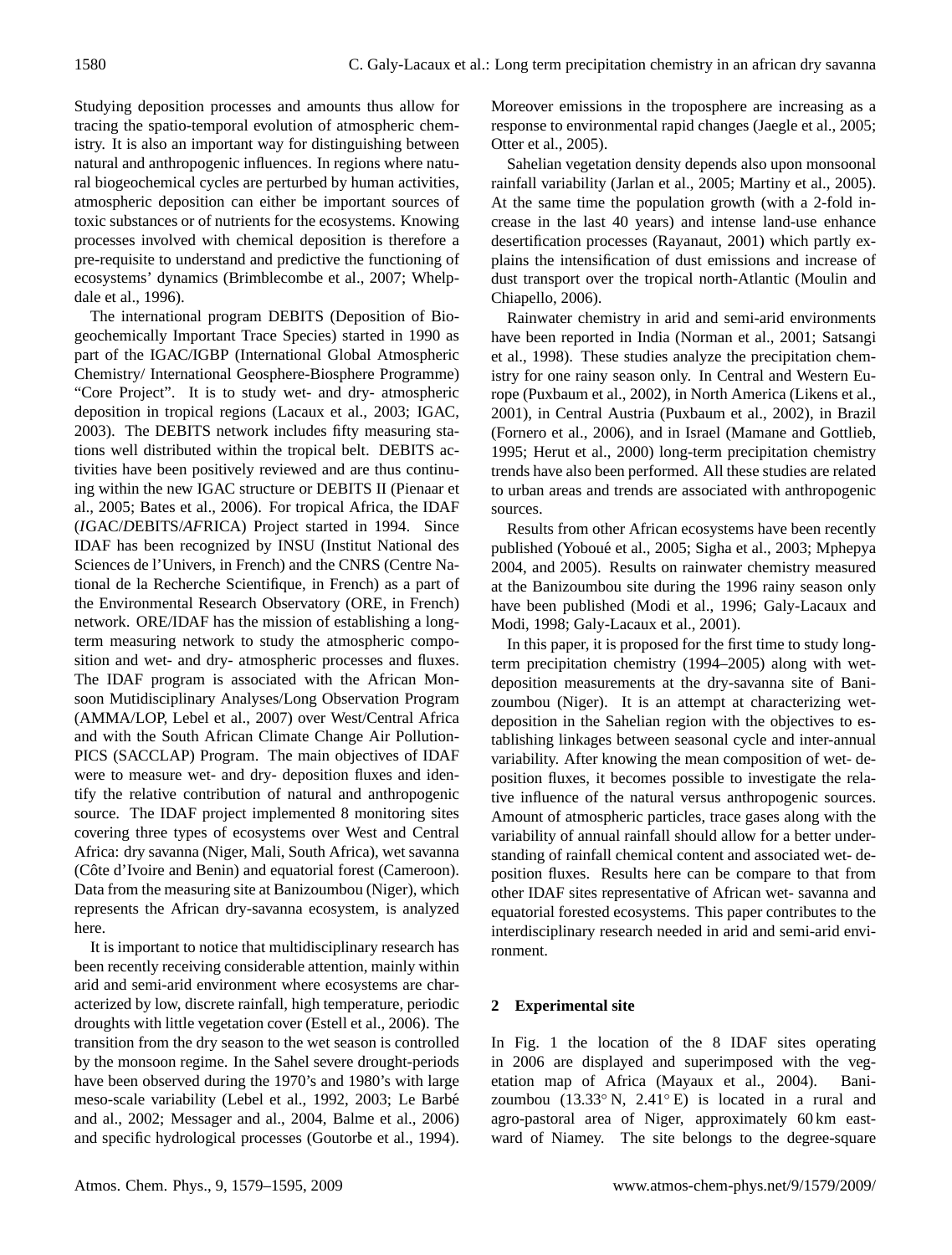Studying deposition processes and amounts thus allow for tracing the spatio-temporal evolution of atmospheric chemistry. It is also an important way for distinguishing between natural and anthropogenic influences. In regions where natural biogeochemical cycles are perturbed by human activities, atmospheric deposition can either be important sources of toxic substances or of nutrients for the ecosystems. Knowing processes involved with chemical deposition is therefore a pre-requisite to understand and predictive the functioning of ecosystems' dynamics (Brimblecombe et al., 2007; Whelpdale et al., 1996).

The international program DEBITS (Deposition of Biogeochemically Important Trace Species) started in 1990 as part of the IGAC/IGBP (International Global Atmospheric Chemistry/ International Geosphere-Biosphere Programme) "Core Project". It is to study wet- and dry- atmospheric deposition in tropical regions (Lacaux et al., 2003; IGAC, 2003). The DEBITS network includes fifty measuring stations well distributed within the tropical belt. DEBITS activities have been positively reviewed and are thus continuing within the new IGAC structure or DEBITS II (Pienaar et al., 2005; Bates et al., 2006). For tropical Africa, the IDAF (*I*GAC/*D*EBITS/*AF*RICA) Project started in 1994. Since IDAF has been recognized by INSU (Institut National des Sciences de l'Univers, in French) and the CNRS (Centre National de la Recherche Scientifique, in French) as a part of the Environmental Research Observatory (ORE, in French) network. ORE/IDAF has the mission of establishing a longterm measuring network to study the atmospheric composition and wet- and dry- atmospheric processes and fluxes. The IDAF program is associated with the African Monsoon Mutidisciplinary Analyses/Long Observation Program (AMMA/LOP, Lebel et al., 2007) over West/Central Africa and with the South African Climate Change Air Pollution-PICS (SACCLAP) Program. The main objectives of IDAF were to measure wet- and dry- deposition fluxes and identify the relative contribution of natural and anthropogenic source. The IDAF project implemented 8 monitoring sites covering three types of ecosystems over West and Central Africa: dry savanna (Niger, Mali, South Africa), wet savanna (Côte d'Ivoire and Benin) and equatorial forest (Cameroon). Data from the measuring site at Banizoumbou (Niger), which represents the African dry-savanna ecosystem, is analyzed here.

It is important to notice that multidisciplinary research has been recently receiving considerable attention, mainly within arid and semi-arid environment where ecosystems are characterized by low, discrete rainfall, high temperature, periodic droughts with little vegetation cover (Estell et al., 2006). The transition from the dry season to the wet season is controlled by the monsoon regime. In the Sahel severe drought-periods have been observed during the 1970's and 1980's with large meso-scale variability (Lebel et al., 1992, 2003; Le Barbe´ and al., 2002; Messager and al., 2004, Balme et al., 2006) and specific hydrological processes (Goutorbe et al., 1994). Moreover emissions in the troposphere are increasing as a response to environmental rapid changes (Jaegle et al., 2005; Otter et al., 2005).

Sahelian vegetation density depends also upon monsoonal rainfall variability (Jarlan et al., 2005; Martiny et al., 2005). At the same time the population growth (with a 2-fold increase in the last 40 years) and intense land-use enhance desertification processes (Rayanaut, 2001) which partly explains the intensification of dust emissions and increase of dust transport over the tropical north-Atlantic (Moulin and Chiapello, 2006).

Rainwater chemistry in arid and semi-arid environments have been reported in India (Norman et al., 2001; Satsangi et al., 1998). These studies analyze the precipitation chemistry for one rainy season only. In Central and Western Europe (Puxbaum et al., 2002), in North America (Likens et al., 2001), in Central Austria (Puxbaum et al., 2002), in Brazil (Fornero et al., 2006), and in Israel (Mamane and Gottlieb, 1995; Herut et al., 2000) long-term precipitation chemistry trends have also been performed. All these studies are related to urban areas and trends are associated with anthropogenic sources.

Results from other African ecosystems have been recently published (Yoboué et al., 2005; Sigha et al., 2003; Mphepya 2004, and 2005). Results on rainwater chemistry measured at the Banizoumbou site during the 1996 rainy season only have been published (Modi et al., 1996; Galy-Lacaux and Modi, 1998; Galy-Lacaux et al., 2001).

In this paper, it is proposed for the first time to study longterm precipitation chemistry (1994–2005) along with wetdeposition measurements at the dry-savanna site of Banizoumbou (Niger). It is an attempt at characterizing wetdeposition in the Sahelian region with the objectives to establishing linkages between seasonal cycle and inter-annual variability. After knowing the mean composition of wet- deposition fluxes, it becomes possible to investigate the relative influence of the natural versus anthropogenic sources. Amount of atmospheric particles, trace gases along with the variability of annual rainfall should allow for a better understanding of rainfall chemical content and associated wet- deposition fluxes. Results here can be compare to that from other IDAF sites representative of African wet- savanna and equatorial forested ecosystems. This paper contributes to the interdisciplinary research needed in arid and semi-arid environment.

#### **2 Experimental site**

In Fig. 1 the location of the 8 IDAF sites operating in 2006 are displayed and superimposed with the vegetation map of Africa (Mayaux et al., 2004). Banizoumbou  $(13.33° N, 2.41° E)$  is located in a rural and agro-pastoral area of Niger, approximately 60 km eastward of Niamey. The site belongs to the degree-square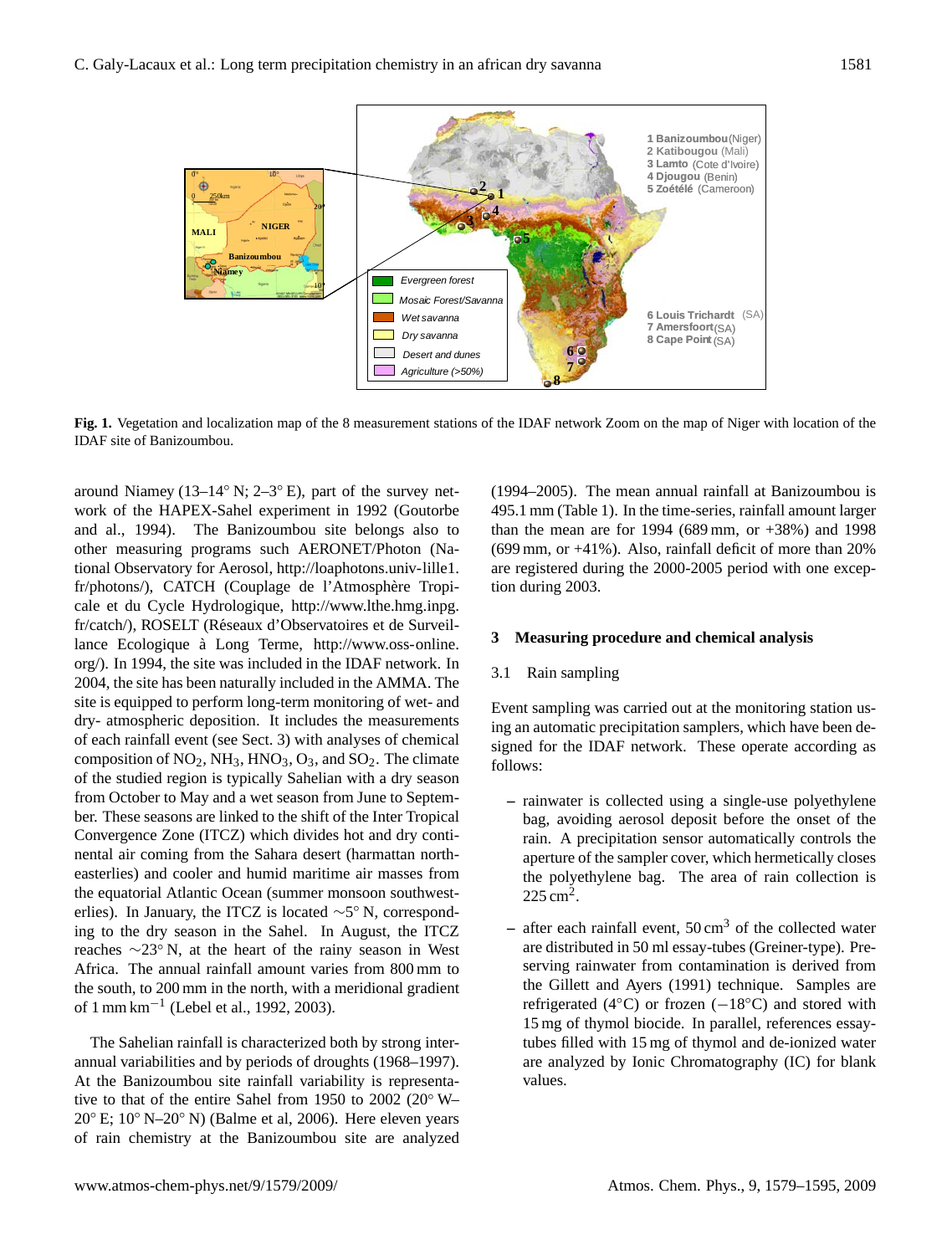

**Fig. 1.** Vegetation and localization map of the 8 measurement stations of the IDAF network Zoom on the map of Niger with location of the IDAF site of Banizoumbou.

around Niamey (13–14 $\degree$  N; 2–3 $\degree$  E), part of the survey network of the HAPEX-Sahel experiment in 1992 (Goutorbe and al., 1994). The Banizoumbou site belongs also to other measuring programs such AERONET/Photon (National Observatory for Aerosol, [http://loaphotons.univ-lille1.](http://loaphotons.univ-lille1.fr/photons/) [fr/photons/\)](http://loaphotons.univ-lille1.fr/photons/), CATCH (Couplage de l'Atmosphère Tropicale et du Cycle Hydrologique, [http://www.lthe.hmg.inpg.](http://www.lthe.hmg.inpg.fr/catch/) [fr/catch/\)](http://www.lthe.hmg.inpg.fr/catch/), ROSELT (Réseaux d'Observatoires et de Surveillance Ecologique à Long Terme, [http://www.oss-online.](http://www.oss-online.org/) [org/\)](http://www.oss-online.org/). In 1994, the site was included in the IDAF network. In 2004, the site has been naturally included in the AMMA. The site is equipped to perform long-term monitoring of wet- and dry- atmospheric deposition. It includes the measurements of each rainfall event (see Sect. 3) with analyses of chemical composition of  $NO_2$ ,  $NH_3$ ,  $HNO_3$ ,  $O_3$ , and  $SO_2$ . The climate of the studied region is typically Sahelian with a dry season from October to May and a wet season from June to September. These seasons are linked to the shift of the Inter Tropical Convergence Zone (ITCZ) which divides hot and dry continental air coming from the Sahara desert (harmattan northeasterlies) and cooler and humid maritime air masses from the equatorial Atlantic Ocean (summer monsoon southwesterlies). In January, the ITCZ is located  $\sim$ 5° N, corresponding to the dry season in the Sahel. In August, the ITCZ reaches ∼23◦ N, at the heart of the rainy season in West Africa. The annual rainfall amount varies from 800 mm to the south, to 200 mm in the north, with a meridional gradient of 1 mm km−<sup>1</sup> (Lebel et al., 1992, 2003).

The Sahelian rainfall is characterized both by strong interannual variabilities and by periods of droughts (1968–1997). At the Banizoumbou site rainfall variability is representative to that of the entire Sahel from 1950 to 2002 (20◦ W–  $20^{\circ}$  E;  $10^{\circ}$  N– $20^{\circ}$  N) (Balme et al, 2006). Here eleven years of rain chemistry at the Banizoumbou site are analyzed (1994–2005). The mean annual rainfall at Banizoumbou is 495.1 mm (Table 1). In the time-series, rainfall amount larger than the mean are for 1994 (689 mm, or  $+38\%$ ) and 1998 (699 mm, or +41%). Also, rainfall deficit of more than 20% are registered during the 2000-2005 period with one exception during 2003.

#### **3 Measuring procedure and chemical analysis**

#### 3.1 Rain sampling

Event sampling was carried out at the monitoring station using an automatic precipitation samplers, which have been designed for the IDAF network. These operate according as follows:

- **–** rainwater is collected using a single-use polyethylene bag, avoiding aerosol deposit before the onset of the rain. A precipitation sensor automatically controls the aperture of the sampler cover, which hermetically closes the polyethylene bag. The area of rain collection is  $225 \text{ cm}^2$ .
- **–** after each rainfall event, 50 cm<sup>3</sup> of the collected water are distributed in 50 ml essay-tubes (Greiner-type). Preserving rainwater from contamination is derived from the Gillett and Ayers (1991) technique. Samples are refrigerated (4 $°C$ ) or frozen ( $-18°C$ ) and stored with 15 mg of thymol biocide. In parallel, references essaytubes filled with 15 mg of thymol and de-ionized water are analyzed by Ionic Chromatography (IC) for blank values.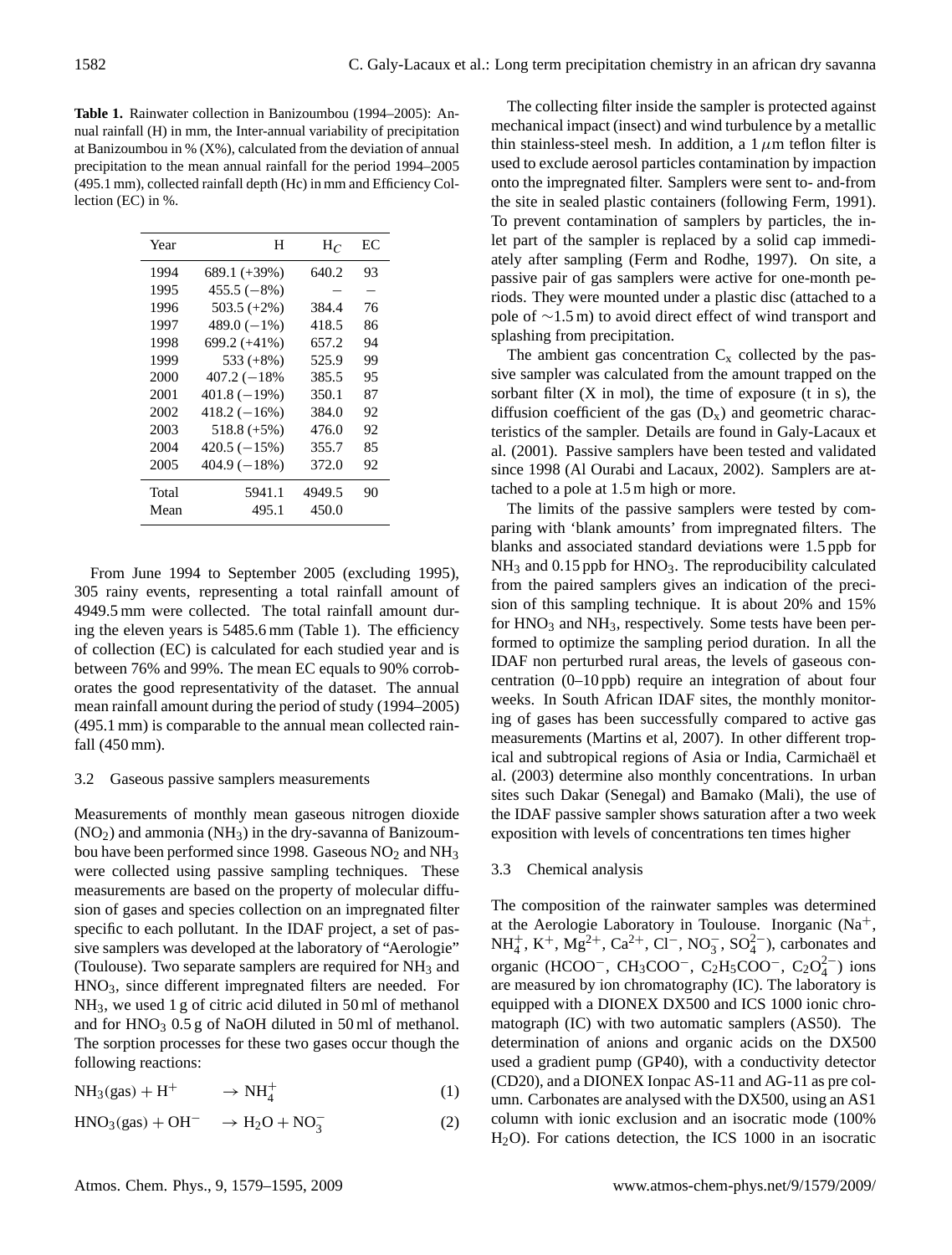**Table 1.** Rainwater collection in Banizoumbou (1994–2005): Annual rainfall (H) in mm, the Inter-annual variability of precipitation at Banizoumbou in  $% (X\%)$ , calculated from the deviation of annual precipitation to the mean annual rainfall for the period 1994–2005 (495.1 mm), collected rainfall depth (Hc) in mm and Efficiency Collection (EC) in %.

| Year  | Н              | $H_C$  | EС |
|-------|----------------|--------|----|
| 1994  | 689.1 (+39%)   | 640.2  | 93 |
| 1995  | $455.5(-8%)$   |        |    |
| 1996  | $503.5 (+2%)$  | 384.4  | 76 |
| 1997  | $489.0(-1%)$   | 418.5  | 86 |
| 1998  | $699.2 (+41%)$ | 657.2  | 94 |
| 1999  | $533 (+8\%)$   | 525.9  | 99 |
| 2000  | $407.2(-18%$   | 385.5  | 95 |
| 2001  | $401.8(-19%)$  | 350.1  | 87 |
| 2002  | $418.2(-16%)$  | 384.0  | 92 |
| 2003  | $518.8 (+5%)$  | 476.0  | 92 |
| 2004  | $420.5(-15%)$  | 355.7  | 85 |
| 2005  | $404.9(-18%)$  | 372.0  | 92 |
| Total | 5941.1         | 4949.5 | 90 |
| Mean  | 495.1          | 450.0  |    |

From June 1994 to September 2005 (excluding 1995), 305 rainy events, representing a total rainfall amount of 4949.5 mm were collected. The total rainfall amount during the eleven years is 5485.6 mm (Table 1). The efficiency of collection (EC) is calculated for each studied year and is between 76% and 99%. The mean EC equals to 90% corroborates the good representativity of the dataset. The annual mean rainfall amount during the period of study (1994–2005) (495.1 mm) is comparable to the annual mean collected rainfall (450 mm).

#### 3.2 Gaseous passive samplers measurements

Measurements of monthly mean gaseous nitrogen dioxide  $(NO<sub>2</sub>)$  and ammonia  $(NH<sub>3</sub>)$  in the dry-savanna of Banizoumbou have been performed since 1998. Gaseous  $NO<sub>2</sub>$  and  $NH<sub>3</sub>$ were collected using passive sampling techniques. These measurements are based on the property of molecular diffusion of gases and species collection on an impregnated filter specific to each pollutant. In the IDAF project, a set of passive samplers was developed at the laboratory of "Aerologie" (Toulouse). Two separate samplers are required for NH<sup>3</sup> and HNO3, since different impregnated filters are needed. For NH3, we used 1 g of citric acid diluted in 50 ml of methanol and for HNO<sub>3</sub> 0.5 g of NaOH diluted in 50 ml of methanol. The sorption processes for these two gases occur though the following reactions:

$$
NH_3(gas) + H^+ \longrightarrow NH_4^+ \tag{1}
$$

 $HNO<sub>3</sub>(gas) + OH<sup>-</sup>$   $\rightarrow$  H<sub>2</sub>O + NO<sub>3</sub><sup>-</sup> (2)

The collecting filter inside the sampler is protected against mechanical impact (insect) and wind turbulence by a metallic thin stainless-steel mesh. In addition, a  $1 \mu$ m teflon filter is used to exclude aerosol particles contamination by impaction onto the impregnated filter. Samplers were sent to- and-from the site in sealed plastic containers (following Ferm, 1991). To prevent contamination of samplers by particles, the inlet part of the sampler is replaced by a solid cap immediately after sampling (Ferm and Rodhe, 1997). On site, a passive pair of gas samplers were active for one-month periods. They were mounted under a plastic disc (attached to a pole of ∼1.5 m) to avoid direct effect of wind transport and splashing from precipitation.

The ambient gas concentration  $C_x$  collected by the passive sampler was calculated from the amount trapped on the sorbant filter  $(X \text{ in } \text{mol})$ , the time of exposure  $(t \text{ in } s)$ , the diffusion coefficient of the gas  $(D_x)$  and geometric characteristics of the sampler. Details are found in Galy-Lacaux et al. (2001). Passive samplers have been tested and validated since 1998 (Al Ourabi and Lacaux, 2002). Samplers are attached to a pole at 1.5 m high or more.

The limits of the passive samplers were tested by comparing with 'blank amounts' from impregnated filters. The blanks and associated standard deviations were 1.5 ppb for NH<sub>3</sub> and 0.15 ppb for HNO<sub>3</sub>. The reproducibility calculated from the paired samplers gives an indication of the precision of this sampling technique. It is about 20% and 15% for  $HNO<sub>3</sub>$  and  $NH<sub>3</sub>$ , respectively. Some tests have been performed to optimize the sampling period duration. In all the IDAF non perturbed rural areas, the levels of gaseous concentration (0–10 ppb) require an integration of about four weeks. In South African IDAF sites, the monthly monitoring of gases has been successfully compared to active gas measurements (Martins et al, 2007). In other different tropical and subtropical regions of Asia or India, Carmichaël et al. (2003) determine also monthly concentrations. In urban sites such Dakar (Senegal) and Bamako (Mali), the use of the IDAF passive sampler shows saturation after a two week exposition with levels of concentrations ten times higher

#### 3.3 Chemical analysis

The composition of the rainwater samples was determined at the Aerologie Laboratory in Toulouse. Inorganic  $(Na^{+})$ ,  $NH_4^+$ ,  $K^+$ ,  $Mg^{2+}$ ,  $Ca^{2+}$ ,  $Cl^-$ ,  $NO_3^-$ ,  $SO_4^{2-}$ ), carbonates and organic (HCOO<sup>-</sup>, CH<sub>3</sub>COO<sup>-</sup>, C<sub>2</sub>H<sub>5</sub>COO<sup>-</sup>, C<sub>2</sub>O<sub>4</sub><sup>2</sup><sup>-</sup>) ions are measured by ion chromatography (IC). The laboratory is equipped with a DIONEX DX500 and ICS 1000 ionic chromatograph (IC) with two automatic samplers (AS50). The determination of anions and organic acids on the DX500 used a gradient pump (GP40), with a conductivity detector (CD20), and a DIONEX Ionpac AS-11 and AG-11 as pre column. Carbonates are analysed with the DX500, using an AS1 column with ionic exclusion and an isocratic mode (100% H2O). For cations detection, the ICS 1000 in an isocratic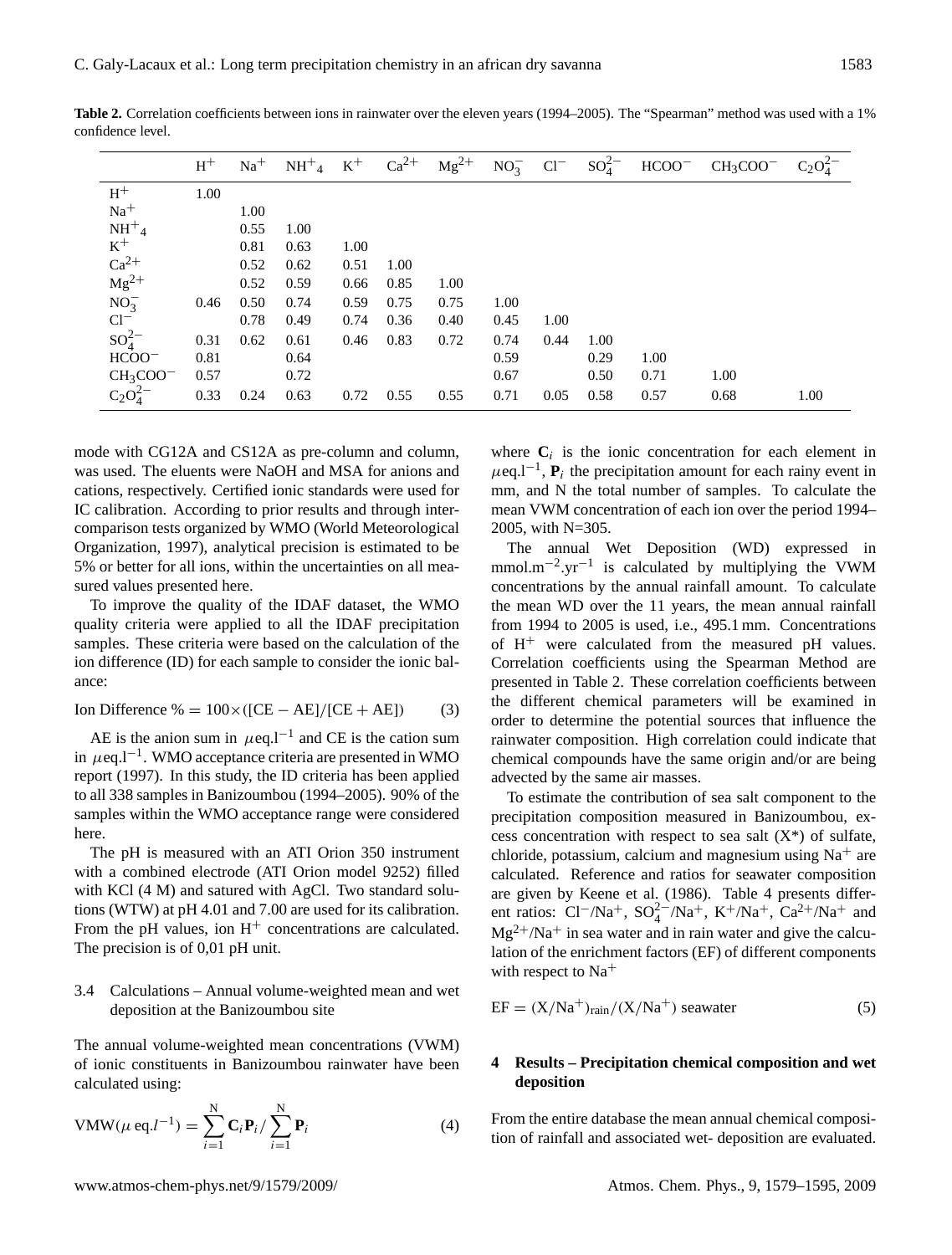|               | $H^+$ | $Na+$ | $NH^+_{4}$ K <sup>+</sup> |      | $Ca^{2+}$ | $Mg^{2+}$ | $NO_3^ Cl^-$ |      | $SO_4^{2-}$ | $HCOO^-$ | $CH3COO-$ | $C_2O_4^{2-}$ |
|---------------|-------|-------|---------------------------|------|-----------|-----------|--------------|------|-------------|----------|-----------|---------------|
| $\rm H^+$     | 1.00  |       |                           |      |           |           |              |      |             |          |           |               |
| $Na+$         |       | 1.00  |                           |      |           |           |              |      |             |          |           |               |
| $NH+4$        |       | 0.55  | 1.00                      |      |           |           |              |      |             |          |           |               |
| $\rm K^+$     |       | 0.81  | 0.63                      | 1.00 |           |           |              |      |             |          |           |               |
| $Ca^{2+}$     |       | 0.52  | 0.62                      | 0.51 | 1.00      |           |              |      |             |          |           |               |
| $Mg^{2+}$     |       | 0.52  | 0.59                      | 0.66 | 0.85      | 1.00      |              |      |             |          |           |               |
| $NO_3^-$      | 0.46  | 0.50  | 0.74                      | 0.59 | 0.75      | 0.75      | 1.00         |      |             |          |           |               |
| $Cl^{-}$      |       | 0.78  | 0.49                      | 0.74 | 0.36      | 0.40      | 0.45         | 1.00 |             |          |           |               |
| $SO_4^{2-}$   | 0.31  | 0.62  | 0.61                      | 0.46 | 0.83      | 0.72      | 0.74         | 0.44 | 1.00        |          |           |               |
| $HCOO^-$      | 0.81  |       | 0.64                      |      |           |           | 0.59         |      | 0.29        | 1.00     |           |               |
| $CH3COO-$     | 0.57  |       | 0.72                      |      |           |           | 0.67         |      | 0.50        | 0.71     | 1.00      |               |
| $C_2O_4^{2-}$ | 0.33  | 0.24  | 0.63                      | 0.72 | 0.55      | 0.55      | 0.71         | 0.05 | 0.58        | 0.57     | 0.68      | 1.00          |

**Table 2.** Correlation coefficients between ions in rainwater over the eleven years (1994–2005). The "Spearman" method was used with a 1% confidence level.

mode with CG12A and CS12A as pre-column and column, was used. The eluents were NaOH and MSA for anions and cations, respectively. Certified ionic standards were used for IC calibration. According to prior results and through intercomparison tests organized by WMO (World Meteorological Organization, 1997), analytical precision is estimated to be 5% or better for all ions, within the uncertainties on all measured values presented here.

To improve the quality of the IDAF dataset, the WMO quality criteria were applied to all the IDAF precipitation samples. These criteria were based on the calculation of the ion difference (ID) for each sample to consider the ionic balance:

$$
Ion Difference % = 100 \times ([CE - AE]/[CE + AE])
$$
 (3)

AE is the anion sum in  $\mu$ eq.l<sup>-1</sup> and CE is the cation sum in  $\mu$ eq.l<sup>-1</sup>. WMO acceptance criteria are presented in WMO report (1997). In this study, the ID criteria has been applied to all 338 samples in Banizoumbou (1994–2005). 90% of the samples within the WMO acceptance range were considered here.

The pH is measured with an ATI Orion 350 instrument with a combined electrode (ATI Orion model 9252) filled with KCl (4 M) and satured with AgCl. Two standard solutions (WTW) at pH 4.01 and 7.00 are used for its calibration. From the pH values, ion  $H^+$  concentrations are calculated. The precision is of 0,01 pH unit.

#### 3.4 Calculations – Annual volume-weighted mean and wet deposition at the Banizoumbou site

The annual volume-weighted mean concentrations (VWM) of ionic constituents in Banizoumbou rainwater have been calculated using:

$$
VMW(\mu \text{ eq.} l^{-1}) = \sum_{i=1}^{N} \mathbf{C}_i \mathbf{P}_i / \sum_{i=1}^{N} \mathbf{P}_i
$$
 (4)

where  $C_i$  is the ionic concentration for each element in  $\mu$ eq.l<sup>-1</sup>, **P**<sub>i</sub> the precipitation amount for each rainy event in mm, and N the total number of samples. To calculate the mean VWM concentration of each ion over the period 1994– 2005, with N=305.

The annual Wet Deposition (WD) expressed in mmol.m<sup>-2</sup>.yr<sup>-1</sup> is calculated by multiplying the VWM concentrations by the annual rainfall amount. To calculate the mean WD over the 11 years, the mean annual rainfall from 1994 to 2005 is used, i.e., 495.1 mm. Concentrations of  $H^+$  were calculated from the measured pH values. Correlation coefficients using the Spearman Method are presented in Table 2. These correlation coefficients between the different chemical parameters will be examined in order to determine the potential sources that influence the rainwater composition. High correlation could indicate that chemical compounds have the same origin and/or are being advected by the same air masses.

To estimate the contribution of sea salt component to the precipitation composition measured in Banizoumbou, excess concentration with respect to sea salt  $(X^*)$  of sulfate, chloride, potassium, calcium and magnesium using  $Na<sup>+</sup>$  are calculated. Reference and ratios for seawater composition are given by Keene et al. (1986). Table 4 presents different ratios:  $Cl^{-}/Na^{+}$ ,  $SO_{4}^{2-}/Na^{+}$ ,  $K^{+}/Na^{+}$ ,  $Ca^{2+}/Na^{+}$  and  $Mg^{2+}/Na^{+}$  in sea water and in rain water and give the calculation of the enrichment factors (EF) of different components with respect to  $Na<sup>+</sup>$ 

$$
EF = (X/Na^{+})_{rain}/(X/Na^{+})
$$
 seawater (5)

#### **4 Results – Precipitation chemical composition and wet deposition**

From the entire database the mean annual chemical composition of rainfall and associated wet- deposition are evaluated.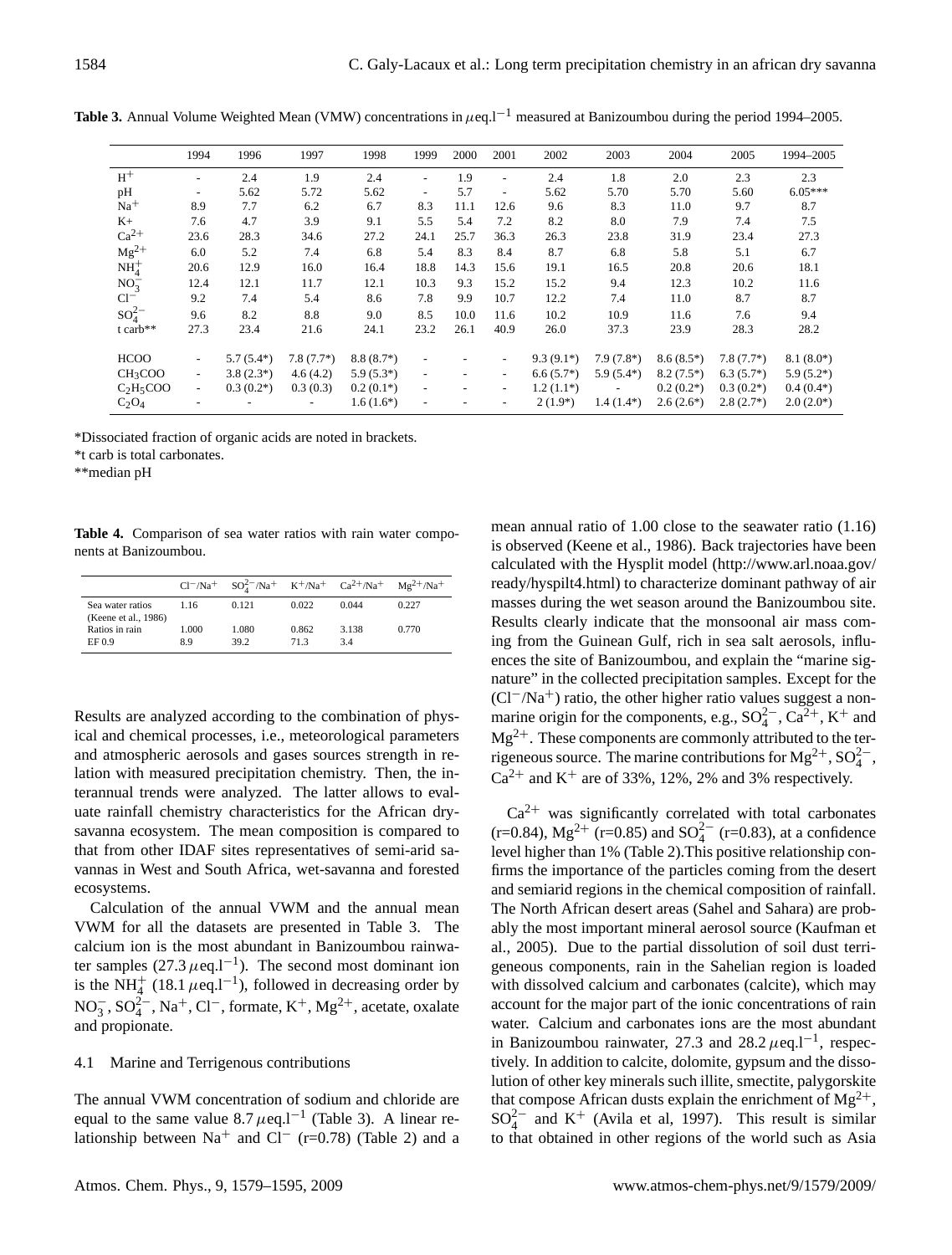|                                   | 1994                     | 1996        | 1997                     | 1998        | 1999                     | 2000                     | 2001                     | 2002        | 2003           | 2004        | 2005        | 1994-2005   |
|-----------------------------------|--------------------------|-------------|--------------------------|-------------|--------------------------|--------------------------|--------------------------|-------------|----------------|-------------|-------------|-------------|
| $H^+$                             | -                        | 2.4         | 1.9                      | 2.4         | $\overline{\phantom{a}}$ | 1.9                      | $\overline{\phantom{a}}$ | 2.4         | 1.8            | 2.0         | 2.3         | 2.3         |
| pH                                | -                        | 5.62        | 5.72                     | 5.62        | $\overline{\phantom{a}}$ | 5.7                      | $\overline{\phantom{a}}$ | 5.62        | 5.70           | 5.70        | 5.60        | $6.05***$   |
| $Na+$                             | 8.9                      | 7.7         | 6.2                      | 6.7         | 8.3                      | 11.1                     | 12.6                     | 9.6         | 8.3            | 11.0        | 9.7         | 8.7         |
| $K+$                              | 7.6                      | 4.7         | 3.9                      | 9.1         | 5.5                      | 5.4                      | 7.2                      | 8.2         | 8.0            | 7.9         | 7.4         | 7.5         |
| $Ca^{2+}$                         | 23.6                     | 28.3        | 34.6                     | 27.2        | 24.1                     | 25.7                     | 36.3                     | 26.3        | 23.8           | 31.9        | 23.4        | 27.3        |
| $Mg^{2+}$                         | 6.0                      | 5.2         | 7.4                      | 6.8         | 5.4                      | 8.3                      | 8.4                      | 8.7         | 6.8            | 5.8         | 5.1         | 6.7         |
| $NH4+$                            | 20.6                     | 12.9        | 16.0                     | 16.4        | 18.8                     | 14.3                     | 15.6                     | 19.1        | 16.5           | 20.8        | 20.6        | 18.1        |
| $NO_3^-$                          | 12.4                     | 12.1        | 11.7                     | 12.1        | 10.3                     | 9.3                      | 15.2                     | 15.2        | 9.4            | 12.3        | 10.2        | 11.6        |
| $Cl^-$                            | 9.2                      | 7.4         | 5.4                      | 8.6         | 7.8                      | 9.9                      | 10.7                     | 12.2        | 7.4            | 11.0        | 8.7         | 8.7         |
| $SO_4^{2-}$                       | 9.6                      | 8.2         | 8.8                      | 9.0         | 8.5                      | 10.0                     | 11.6                     | 10.2        | 10.9           | 11.6        | 7.6         | 9.4         |
| t carb**                          | 27.3                     | 23.4        | 21.6                     | 24.1        | 23.2                     | 26.1                     | 40.9                     | 26.0        | 37.3           | 23.9        | 28.3        | 28.2        |
| <b>HCOO</b>                       | $\overline{\phantom{a}}$ | $5.7(5.4*)$ | $7.8(7.7*)$              | $8.8(8.7*)$ | $\overline{\phantom{a}}$ |                          | $\overline{\phantom{a}}$ | $9.3(9.1*)$ | $7.9(7.8^*)$   | $8.6(8.5*)$ | $7.8(7.7*)$ | $8.1(8.0*)$ |
| CH <sub>3</sub> COO               | $\overline{\phantom{a}}$ | $3.8(2.3*)$ | 4.6(4.2)                 | $5.9(5.3*)$ | $\overline{\phantom{a}}$ | $\tilde{\phantom{a}}$    | $\overline{\phantom{a}}$ | $6.6(5.7*)$ | $5.9(5.4*)$    | $8.2(7.5*)$ | $6.3(5.7*)$ | $5.9(5.2*)$ |
| C <sub>2</sub> H <sub>5</sub> COO | $\sim$                   | $0.3(0.2*)$ | 0.3(0.3)                 | $0.2(0.1*)$ | $\overline{\phantom{a}}$ | $\overline{\phantom{a}}$ | $\overline{\phantom{a}}$ | $1.2(1.1*)$ | $\blacksquare$ | $0.2(0.2*)$ | $0.3(0.2*)$ | $0.4(0.4*)$ |
| $C_2O_4$                          |                          |             | $\overline{\phantom{a}}$ | $1.6(1.6*)$ | $\overline{\phantom{a}}$ |                          | $\overline{\phantom{m}}$ | $2(1.9*)$   | $1.4(1.4^{*})$ | $2.6(2.6*)$ | $2.8(2.7*)$ | $2.0(2.0*)$ |

**Table 3.** Annual Volume Weighted Mean (VMW) concentrations in  $\mu$ eq.l<sup>-1</sup> measured at Banizoumbou during the period 1994–2005.

\*Dissociated fraction of organic acids are noted in brackets.

\*t carb is total carbonates.

\*\*median pH

**Table 4.** Comparison of sea water ratios with rain water components at Banizoumbou.

|                                          |              | $Cl^{-}/Na^{+}$ $SO_{4}^{2-}/Na^{+}$ $K^{+}/Na^{+}$ $Ca^{2+}/Na^{+}$ $Mg^{2+}/Na^{+}$ |              |             |       |
|------------------------------------------|--------------|---------------------------------------------------------------------------------------|--------------|-------------|-------|
| Sea water ratios<br>(Keene et al., 1986) | 1.16         | 0.121                                                                                 | 0.022        | 0.044       | 0.227 |
| Ratios in rain<br>EF 0.9                 | 1.000<br>8.9 | 1.080<br>39.2                                                                         | 0.862<br>713 | 3.138<br>34 | 0.770 |

Results are analyzed according to the combination of physical and chemical processes, i.e., meteorological parameters and atmospheric aerosols and gases sources strength in relation with measured precipitation chemistry. Then, the interannual trends were analyzed. The latter allows to evaluate rainfall chemistry characteristics for the African drysavanna ecosystem. The mean composition is compared to that from other IDAF sites representatives of semi-arid savannas in West and South Africa, wet-savanna and forested ecosystems.

Calculation of the annual VWM and the annual mean VWM for all the datasets are presented in Table 3. The calcium ion is the most abundant in Banizoumbou rainwater samples  $(27.3 \ \mu$ eq.l<sup>-1</sup>). The second most dominant ion is the NH<sup>+</sup><sub>4</sub> (18.1  $\mu$ eq.l<sup>-1</sup>), followed in decreasing order by  $NO_3^-$ ,  $SO_4^{2-}$ ,  $Na^+$ ,  $Cl^-$ , formate,  $K^+$ ,  $Mg^{2+}$ , acetate, oxalate and propionate.

## 4.1 Marine and Terrigenous contributions

The annual VWM concentration of sodium and chloride are equal to the same value  $8.7 \mu$ eq.l<sup>-1</sup> (Table 3). A linear relationship between Na<sup>+</sup> and Cl<sup>−</sup> (r=0.78) (Table 2) and a mean annual ratio of 1.00 close to the seawater ratio (1.16) is observed (Keene et al., 1986). Back trajectories have been calculated with the Hysplit model [\(http://www.arl.noaa.gov/](http://www.arl.noaa.gov/ready/hyspilt4.html) [ready/hyspilt4.html\)](http://www.arl.noaa.gov/ready/hyspilt4.html) to characterize dominant pathway of air masses during the wet season around the Banizoumbou site. Results clearly indicate that the monsoonal air mass coming from the Guinean Gulf, rich in sea salt aerosols, influences the site of Banizoumbou, and explain the "marine signature" in the collected precipitation samples. Except for the  $(Cl^{-}/Na^{+})$  ratio, the other higher ratio values suggest a nonmarine origin for the components, e.g.,  $SO_4^{2-}$ ,  $Ca^{2+}$ ,  $K^+$  and  $Mg^{2+}$ . These components are commonly attributed to the terrigeneous source. The marine contributions for Mg<sup>2+</sup>, SO<sub>4</sub><sup>2</sup><sup>-</sup>,  $Ca^{2+}$  and K<sup>+</sup> are of 33%, 12%, 2% and 3% respectively.

 $Ca<sup>2+</sup>$  was significantly correlated with total carbonates  $(r=0.84)$ , Mg<sup>2+</sup> (r=0.85) and SO<sub>4</sub><sup>-</sup> (r=0.83), at a confidence level higher than 1% (Table 2).This positive relationship confirms the importance of the particles coming from the desert and semiarid regions in the chemical composition of rainfall. The North African desert areas (Sahel and Sahara) are probably the most important mineral aerosol source (Kaufman et al., 2005). Due to the partial dissolution of soil dust terrigeneous components, rain in the Sahelian region is loaded with dissolved calcium and carbonates (calcite), which may account for the major part of the ionic concentrations of rain water. Calcium and carbonates ions are the most abundant in Banizoumbou rainwater, 27.3 and  $28.2 \mu$ eq.l<sup>-1</sup>, respectively. In addition to calcite, dolomite, gypsum and the dissolution of other key minerals such illite, smectite, palygorskite that compose African dusts explain the enrichment of  $Mg^{2+}$ ,  $SO_4^{2-}$  and K<sup>+</sup> (Avila et al, 1997). This result is similar to that obtained in other regions of the world such as Asia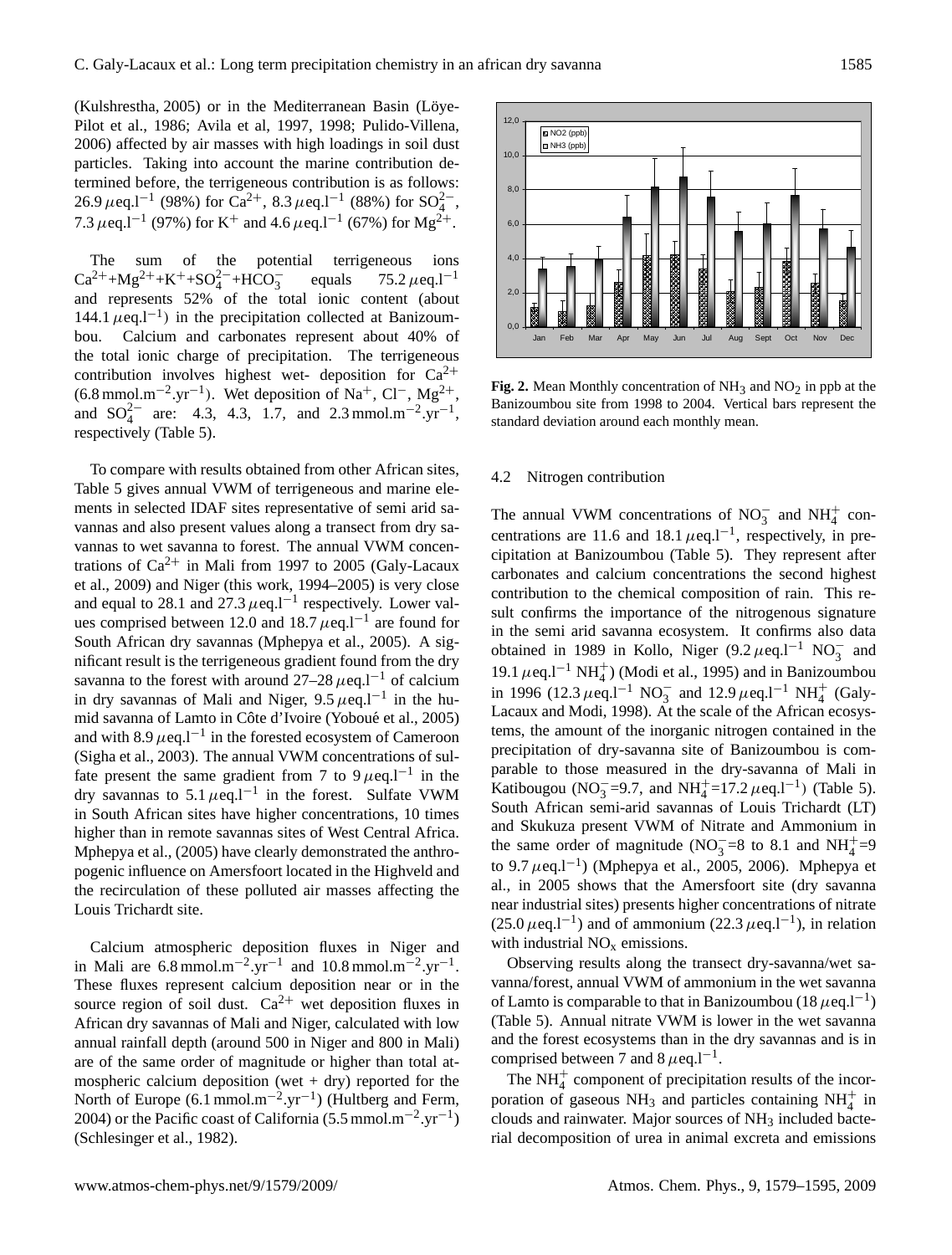(Kulshrestha, 2005) or in the Mediterranean Basin (Löye-Pilot et al., 1986; Avila et al, 1997, 1998; Pulido-Villena, 2006) affected by air masses with high loadings in soil dust particles. Taking into account the marine contribution determined before, the terrigeneous contribution is as follows: 26.9  $\mu$ eq.l<sup>-1</sup> (98%) for Ca<sup>2+</sup>, 8.3  $\mu$ eq.l<sup>-1</sup> (88%) for SO<sub>4</sub><sup>2</sup>-, 7.3  $\mu$ eq.l<sup>-1</sup> (97%) for K<sup>+</sup> and 4.6  $\mu$ eq.l<sup>-1</sup> (67%) for Mg<sup>2+</sup>.

The sum of the potential terrigeneous ions  $Ca^{2+}+Mg^{2+}+K^++SO_4^{2-}+HCO_3^$ equals  $75.2 \mu$ eq.l<sup>-1</sup> and represents 52% of the total ionic content (about 144.1  $\mu$ eq.l<sup>-1</sup>) in the precipitation collected at Banizoumbou. Calcium and carbonates represent about 40% of the total ionic charge of precipitation. The terrigeneous contribution involves highest wet- deposition for  $Ca^{2+}$  $(6.8 \text{ mmol.m}^{-2}.\text{yr}^{-1})$ . Wet deposition of Na<sup>+</sup>, Cl<sup>−</sup>, Mg<sup>2+</sup>, and  $SO_4^{2-}$  are: 4.3, 4.3, 1.7, and 2.3 mmol.m<sup>-2</sup>.yr<sup>-1</sup>, respectively (Table 5).

To compare with results obtained from other African sites, Table 5 gives annual VWM of terrigeneous and marine elements in selected IDAF sites representative of semi arid savannas and also present values along a transect from dry savannas to wet savanna to forest. The annual VWM concentrations of  $Ca^{2+}$  in Mali from 1997 to 2005 (Galy-Lacaux et al., 2009) and Niger (this work, 1994–2005) is very close and equal to 28.1 and 27.3  $\mu$ eq.l<sup>-1</sup> respectively. Lower values comprised between 12.0 and 18.7  $\mu$ eq.l<sup>-1</sup> are found for South African dry savannas (Mphepya et al., 2005). A significant result is the terrigeneous gradient found from the dry savanna to the forest with around  $27-28 \mu$ eq.l<sup>-1</sup> of calcium in dry savannas of Mali and Niger,  $9.5 \mu$ eq.l<sup>-1</sup> in the humid savanna of Lamto in Côte d'Ivoire (Yoboué et al., 2005) and with  $8.9 \mu$ eq.l<sup>-1</sup> in the forested ecosystem of Cameroon (Sigha et al., 2003). The annual VWM concentrations of sulfate present the same gradient from 7 to 9  $\mu$ eq.l<sup>-1</sup> in the dry savannas to 5.1  $\mu$ eq.l<sup>-1</sup> in the forest. Sulfate VWM in South African sites have higher concentrations, 10 times higher than in remote savannas sites of West Central Africa. Mphepya et al., (2005) have clearly demonstrated the anthropogenic influence on Amersfoort located in the Highveld and the recirculation of these polluted air masses affecting the Louis Trichardt site.

Calcium atmospheric deposition fluxes in Niger and in Mali are  $6.8 \text{ mmol.m}^{-2} \text{.} \text{yr}^{-1}$  and  $10.8 \text{ mmol.m}^{-2} \text{.} \text{yr}^{-1}$ . These fluxes represent calcium deposition near or in the source region of soil dust.  $Ca^{2+}$  wet deposition fluxes in African dry savannas of Mali and Niger, calculated with low annual rainfall depth (around 500 in Niger and 800 in Mali) are of the same order of magnitude or higher than total atmospheric calcium deposition (wet  $+$  dry) reported for the North of Europe  $(6.1 \text{ mmol.m}^{-2}.\text{yr}^{-1})$  (Hultberg and Ferm, 2004) or the Pacific coast of California (5.5 mmol.m<sup>-2</sup>.yr<sup>-1</sup>) (Schlesinger et al., 1982).



**Fig. 2.** Mean Monthly concentration of  $NH<sub>3</sub>$  and  $NO<sub>2</sub>$  in ppb at the Banizoumbou site from 1998 to 2004. Vertical bars represent the standard deviation around each monthly mean.

#### 4.2 Nitrogen contribution

The annual VWM concentrations of  $NO_3^-$  and  $NH_4^+$  concentrations are 11.6 and 18.1  $\mu$ eq.l<sup>-1</sup>, respectively, in precipitation at Banizoumbou (Table 5). They represent after carbonates and calcium concentrations the second highest contribution to the chemical composition of rain. This result confirms the importance of the nitrogenous signature in the semi arid savanna ecosystem. It confirms also data obtained in 1989 in Kollo, Niger (9.2  $\mu$ eq.l<sup>-1</sup> NO<sub>3</sub> and 19.1  $\mu$ eq.l<sup>-1</sup> NH<sup>+</sup><sub>4</sub>) (Modi et al., 1995) and in Banizoumbou in 1996 (12.3  $\mu$ eq.l<sup>-1</sup> NO<sub>3</sub> and 12.9  $\mu$ eq.l<sup>-1</sup> NH<sub>4</sub><sup>+</sup> (Galy-Lacaux and Modi, 1998). At the scale of the African ecosystems, the amount of the inorganic nitrogen contained in the precipitation of dry-savanna site of Banizoumbou is comparable to those measured in the dry-savanna of Mali in Katibougou (NO<sub>3</sub>=9.7, and NH<sup>+</sup><sub>4</sub>=17.2  $\mu$ eq.l<sup>-1</sup>) (Table 5). South African semi-arid savannas of Louis Trichardt (LT) and Skukuza present VWM of Nitrate and Ammonium in the same order of magnitude (NO<sub>3</sub>=8 to 8.1 and NH<sup>+</sup><sub>4</sub>=9 to 9.7  $\mu$ eq.l<sup>-1</sup>) (Mphepya et al., 2005, 2006). Mphepya et al., in 2005 shows that the Amersfoort site (dry savanna near industrial sites) presents higher concentrations of nitrate (25.0  $\mu$ eq.l<sup>-1</sup>) and of ammonium (22.3  $\mu$ eq.l<sup>-1</sup>), in relation with industrial  $NO<sub>x</sub>$  emissions.

Observing results along the transect dry-savanna/wet savanna/forest, annual VWM of ammonium in the wet savanna of Lamto is comparable to that in Banizoumbou (18  $\mu$ eq.l<sup>-1</sup>) (Table 5). Annual nitrate VWM is lower in the wet savanna and the forest ecosystems than in the dry savannas and is in comprised between 7 and  $8 \mu$ eq.l<sup>-1</sup>.

The  $NH<sub>4</sub><sup>+</sup>$  component of precipitation results of the incorporation of gaseous NH<sub>3</sub> and particles containing NH<sub>4</sub><sup>+</sup> in clouds and rainwater. Major sources of  $NH<sub>3</sub>$  included bacterial decomposition of urea in animal excreta and emissions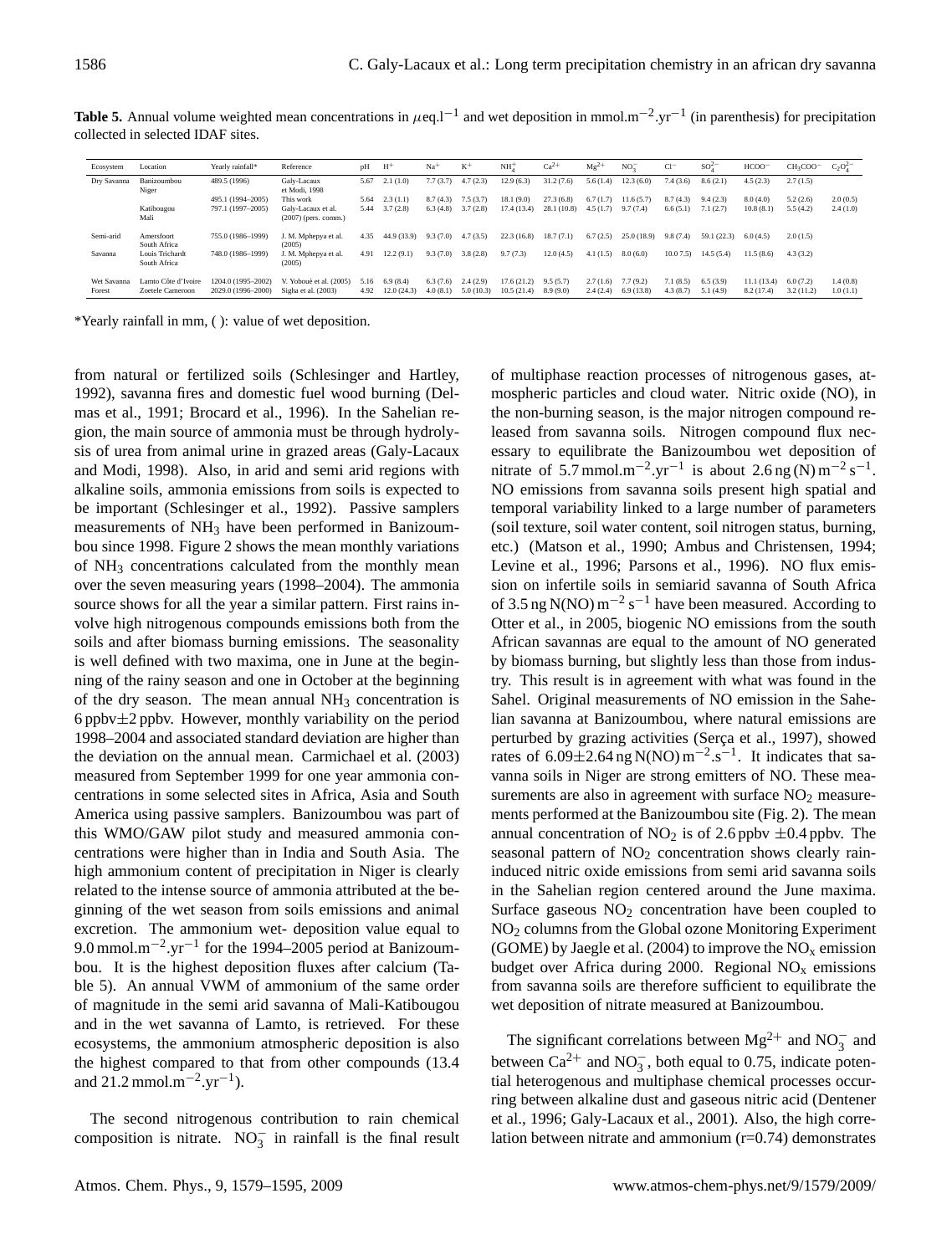| Ecosystem             | Location                                | Yearly rainfall*                         | Reference                                      | pH           | $H^+$                  | $Na+$                | $K^+$                 | NH <sub>2</sub>          | $Ca2+$                | $Mg^{2+}$            | NO <sub>2</sub>       | $Cl^-$               | SO <sup>2</sup>      | $HCOO^-$                 | CH <sub>3</sub> COO <sup>-</sup> | $C_2O_4^{2-}$        |
|-----------------------|-----------------------------------------|------------------------------------------|------------------------------------------------|--------------|------------------------|----------------------|-----------------------|--------------------------|-----------------------|----------------------|-----------------------|----------------------|----------------------|--------------------------|----------------------------------|----------------------|
| Dry Savanna           | Banizoumbou<br>Niger                    | 489.5 (1996)                             | Galy-Lacaux<br>et Modi, 1998                   | 5.67         | 2.1(1.0)               | 7.7(3.7)             | 4.7(2.3)              | 12.9(6.3)                | 31.2(7.6)             | 5.6(<br>. (4.        | 12.3(6.0)             | 7.4(3.6)             | 8.6(2.1)             | 4.5(2.3)                 | 2.7(1.5)                         |                      |
|                       |                                         | 495.1 (1994-2005)                        | This work                                      | 5.64         | 2.3(1.1)               | 8.7(4.3)             | 7.5(3.7)              | 18.1 (9.0)               | 27.3(6.8)             | 6.7(1.7)             | 11.6(5.7)             | 8.7(4.3)             | 9.4(2.3)             | 8.0(4.0)                 | 5.2(2.6)                         | 2.0(0.5)             |
|                       | Katibougou                              | 797.1 (1997-2005)                        | Galv-Lacaux et al.                             | 5.44         | 3.7(2.8)               | 6.3(4.8)             | 3.7(2.8)              | 17.4(13.4)               | 28.1(10.8)            | 4.5(1.7)             | 9.7(7.4)              | 6.6(5.1)             | 7.1(2.7)             | 10.8(8.1)                | 5.5(4.2)                         | 2.4(1.0)             |
|                       | Mali                                    |                                          | $(2007)$ (pers. comm.)                         |              |                        |                      |                       |                          |                       |                      |                       |                      |                      |                          |                                  |                      |
| Semi-arid             | Amersfoort<br>South Africa              | 755.0 (1986-1999)                        | J. M. Mphepya et al.<br>(2005)                 | 4.35         | 44.9 (33.9)            | 9.3(7.0)             | 4.7(3.5)              | 22.3(16.8)               | 18.7(7.1)             | 6.7(2.5)             | 25.0 (18.9)           | 9.8(7.4)             | 59.1 (22.3)          | 6.0(4.5)                 | 2.0(1.5)                         |                      |
| Savanna               | Louis Trichardt                         | 748.0 (1986-1999)                        | J. M. Mphepya et al.                           | 4.91         | 12.2(9.1)              | 9.3(7.0)             | 3.8(2.8)              | 9.7(7.3)                 | 12.0(4.5)             | 4.1(1.5)             | 8.0(6.0)              | 10.07.5              | 14.5(5.4)            | 11.5(8.6)                | 4.3(3.2)                         |                      |
|                       | South Africa                            |                                          | (2005)                                         |              |                        |                      |                       |                          |                       |                      |                       |                      |                      |                          |                                  |                      |
| Wet Savanna<br>Forest | Lamto Côte d'Ivoire<br>Zoetele Cameroon | 1204.0 (1995-2002)<br>2029.0 (1996-2000) | V. Yoboué et al. (2005)<br>Sigha et al. (2003) | 5.16<br>4.92 | 6.9(8.4)<br>12.0(24.3) | 6.3(7.6)<br>4.0(8.1) | 2.4(2.9)<br>5.0(10.3) | 17.6(21.2)<br>10.5(21.4) | 9.5(5.7)<br>8.9 (9.0) | 2.7(1.6)<br>2.4(2.4) | 7.7(9.2)<br>6.9(13.8) | 7.1(8.5)<br>4.3(8.7) | 6.5(3.9)<br>5.1(4.9) | 11.1(13.4)<br>8.2 (17.4) | 6.0(7.2)<br>3.2(11.2)            | 1.4(0.8)<br>1.0(1.1) |

**Table 5.** Annual volume weighted mean concentrations in  $\mu$ eq.l<sup>-1</sup> and wet deposition in mmol.m<sup>-2</sup>.yr<sup>-1</sup> (in parenthesis) for precipitation collected in selected IDAF sites.

\*Yearly rainfall in mm, ( ): value of wet deposition.

from natural or fertilized soils (Schlesinger and Hartley, 1992), savanna fires and domestic fuel wood burning (Delmas et al., 1991; Brocard et al., 1996). In the Sahelian region, the main source of ammonia must be through hydrolysis of urea from animal urine in grazed areas (Galy-Lacaux and Modi, 1998). Also, in arid and semi arid regions with alkaline soils, ammonia emissions from soils is expected to be important (Schlesinger et al., 1992). Passive samplers measurements of NH<sub>3</sub> have been performed in Banizoumbou since 1998. Figure 2 shows the mean monthly variations of NH<sup>3</sup> concentrations calculated from the monthly mean over the seven measuring years (1998–2004). The ammonia source shows for all the year a similar pattern. First rains involve high nitrogenous compounds emissions both from the soils and after biomass burning emissions. The seasonality is well defined with two maxima, one in June at the beginning of the rainy season and one in October at the beginning of the dry season. The mean annual  $NH<sub>3</sub>$  concentration is 6 ppbv $\pm 2$  ppbv. However, monthly variability on the period 1998–2004 and associated standard deviation are higher than the deviation on the annual mean. Carmichael et al. (2003) measured from September 1999 for one year ammonia concentrations in some selected sites in Africa, Asia and South America using passive samplers. Banizoumbou was part of this WMO/GAW pilot study and measured ammonia concentrations were higher than in India and South Asia. The high ammonium content of precipitation in Niger is clearly related to the intense source of ammonia attributed at the beginning of the wet season from soils emissions and animal excretion. The ammonium wet- deposition value equal to 9.0 mmol.m<sup>-2</sup>.yr<sup>-1</sup> for the 1994–2005 period at Banizoumbou. It is the highest deposition fluxes after calcium (Table 5). An annual VWM of ammonium of the same order of magnitude in the semi arid savanna of Mali-Katibougou and in the wet savanna of Lamto, is retrieved. For these ecosystems, the ammonium atmospheric deposition is also the highest compared to that from other compounds (13.4 and 21.2 mmol.m<sup>-2</sup>.yr<sup>-1</sup>).

The second nitrogenous contribution to rain chemical composition is nitrate.  $NO_3^-$  in rainfall is the final result

of multiphase reaction processes of nitrogenous gases, atmospheric particles and cloud water. Nitric oxide (NO), in the non-burning season, is the major nitrogen compound released from savanna soils. Nitrogen compound flux necessary to equilibrate the Banizoumbou wet deposition of nitrate of 5.7 mmol.m<sup>-2</sup>.yr<sup>-1</sup> is about 2.6 ng (N) m<sup>-2</sup> s<sup>-1</sup>. NO emissions from savanna soils present high spatial and temporal variability linked to a large number of parameters (soil texture, soil water content, soil nitrogen status, burning, etc.) (Matson et al., 1990; Ambus and Christensen, 1994; Levine et al., 1996; Parsons et al., 1996). NO flux emission on infertile soils in semiarid savanna of South Africa of 3.5 ng N(NO)  $\text{m}^{-2}$  s<sup>-1</sup> have been measured. According to Otter et al., in 2005, biogenic NO emissions from the south African savannas are equal to the amount of NO generated by biomass burning, but slightly less than those from industry. This result is in agreement with what was found in the Sahel. Original measurements of NO emission in the Sahelian savanna at Banizoumbou, where natural emissions are perturbed by grazing activities (Serça et al., 1997), showed rates of 6.09 $\pm$ 2.64 ng N(NO) m<sup>-2</sup>.s<sup>-1</sup>. It indicates that savanna soils in Niger are strong emitters of NO. These measurements are also in agreement with surface  $NO<sub>2</sub>$  measurements performed at the Banizoumbou site (Fig. 2). The mean annual concentration of  $NO<sub>2</sub>$  is of 2.6 ppbv  $\pm 0.4$  ppbv. The seasonal pattern of  $NO<sub>2</sub>$  concentration shows clearly raininduced nitric oxide emissions from semi arid savanna soils in the Sahelian region centered around the June maxima. Surface gaseous  $NO<sub>2</sub>$  concentration have been coupled to NO<sup>2</sup> columns from the Global ozone Monitoring Experiment (GOME) by Jaegle et al. (2004) to improve the  $NO<sub>x</sub>$  emission budget over Africa during 2000. Regional  $NO<sub>x</sub>$  emissions from savanna soils are therefore sufficient to equilibrate the wet deposition of nitrate measured at Banizoumbou.

The significant correlations between  $Mg^{2+}$  and  $NO_3^-$  and between  $Ca^{2+}$  and  $NO_3^-$ , both equal to 0.75, indicate potential heterogenous and multiphase chemical processes occurring between alkaline dust and gaseous nitric acid (Dentener et al., 1996; Galy-Lacaux et al., 2001). Also, the high correlation between nitrate and ammonium (r=0.74) demonstrates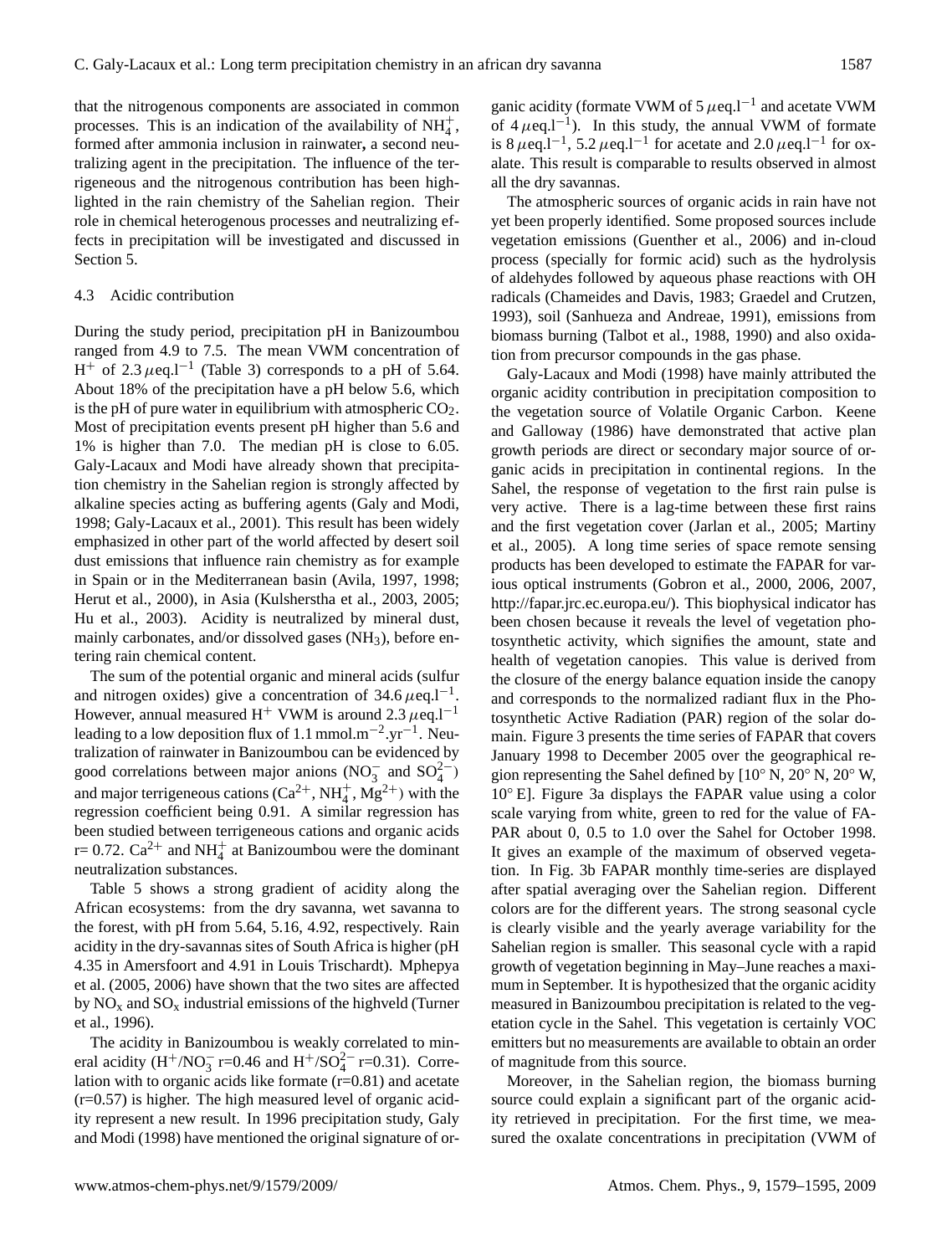that the nitrogenous components are associated in common processes. This is an indication of the availability of  $NH_4^+$ , formed after ammonia inclusion in rainwater**,** a second neutralizing agent in the precipitation. The influence of the terrigeneous and the nitrogenous contribution has been highlighted in the rain chemistry of the Sahelian region. Their role in chemical heterogenous processes and neutralizing effects in precipitation will be investigated and discussed in Section 5.

#### 4.3 Acidic contribution

During the study period, precipitation pH in Banizoumbou ranged from 4.9 to 7.5. The mean VWM concentration of H<sup>+</sup> of 2.3  $\mu$ eq.l<sup>-1</sup> (Table 3) corresponds to a pH of 5.64. About 18% of the precipitation have a pH below 5.6, which is the pH of pure water in equilibrium with atmospheric  $CO<sub>2</sub>$ . Most of precipitation events present pH higher than 5.6 and 1% is higher than 7.0. The median pH is close to 6.05. Galy-Lacaux and Modi have already shown that precipitation chemistry in the Sahelian region is strongly affected by alkaline species acting as buffering agents (Galy and Modi, 1998; Galy-Lacaux et al., 2001). This result has been widely emphasized in other part of the world affected by desert soil dust emissions that influence rain chemistry as for example in Spain or in the Mediterranean basin (Avila, 1997, 1998; Herut et al., 2000), in Asia (Kulsherstha et al., 2003, 2005; Hu et al., 2003). Acidity is neutralized by mineral dust, mainly carbonates, and/or dissolved gases (NH<sub>3</sub>), before entering rain chemical content.

The sum of the potential organic and mineral acids (sulfur and nitrogen oxides) give a concentration of 34.6  $\mu$ eq.l<sup>-1</sup>. However, annual measured H<sup>+</sup> VWM is around 2.3  $\mu$ eq.l<sup>-1</sup> leading to a low deposition flux of 1.1 mmol.m<sup>-2</sup>.yr<sup>-1</sup>. Neutralization of rainwater in Banizoumbou can be evidenced by good correlations between major anions  $(NO<sub>3</sub><sup>-</sup>$  and  $SO<sub>4</sub><sup>2</sup><sup>-</sup>)$ and major terrigeneous cations  $(Ca^{2+}, NH_4^+, Mg^{2+})$  with the regression coefficient being 0.91. A similar regression has been studied between terrigeneous cations and organic acids r= 0.72.  $Ca^{2+}$  and NH<sub>4</sub><sup>+</sup> at Banizoumbou were the dominant neutralization substances.

Table 5 shows a strong gradient of acidity along the African ecosystems: from the dry savanna, wet savanna to the forest, with pH from 5.64, 5.16, 4.92, respectively. Rain acidity in the dry-savannas sites of South Africa is higher (pH 4.35 in Amersfoort and 4.91 in Louis Trischardt). Mphepya et al. (2005, 2006) have shown that the two sites are affected by  $NO<sub>x</sub>$  and  $SO<sub>x</sub>$  industrial emissions of the highveld (Turner et al., 1996).

The acidity in Banizoumbou is weakly correlated to mineral acidity  $(H^{+}/NO_3^{-}r=0.46$  and  $H^{+}/SO_4^{2-}r=0.31)$ . Correlation with to organic acids like formate  $(r=0.81)$  and acetate  $(r=0.57)$  is higher. The high measured level of organic acidity represent a new result. In 1996 precipitation study, Galy and Modi (1998) have mentioned the original signature of or-

ganic acidity (formate VWM of 5  $\mu$ eq.l<sup>-1</sup> and acetate VWM of  $4 \mu$ eq.l<sup>-1</sup>). In this study, the annual VWM of formate is 8  $\mu$ eq.l<sup>-1</sup>, 5.2  $\mu$ eq.l<sup>-1</sup> for acetate and 2.0  $\mu$ eq.l<sup>-1</sup> for oxalate. This result is comparable to results observed in almost all the dry savannas.

The atmospheric sources of organic acids in rain have not yet been properly identified. Some proposed sources include vegetation emissions (Guenther et al., 2006) and in-cloud process (specially for formic acid) such as the hydrolysis of aldehydes followed by aqueous phase reactions with OH radicals (Chameides and Davis, 1983; Graedel and Crutzen, 1993), soil (Sanhueza and Andreae, 1991), emissions from biomass burning (Talbot et al., 1988, 1990) and also oxidation from precursor compounds in the gas phase.

Galy-Lacaux and Modi (1998) have mainly attributed the organic acidity contribution in precipitation composition to the vegetation source of Volatile Organic Carbon. Keene and Galloway (1986) have demonstrated that active plan growth periods are direct or secondary major source of organic acids in precipitation in continental regions. In the Sahel, the response of vegetation to the first rain pulse is very active. There is a lag-time between these first rains and the first vegetation cover (Jarlan et al., 2005; Martiny et al., 2005). A long time series of space remote sensing products has been developed to estimate the FAPAR for various optical instruments (Gobron et al., 2000, 2006, 2007, [http://fapar.jrc.ec.europa.eu/\)](http://fapar.jrc.ec.europa.eu/). This biophysical indicator has been chosen because it reveals the level of vegetation photosynthetic activity, which signifies the amount, state and health of vegetation canopies. This value is derived from the closure of the energy balance equation inside the canopy and corresponds to the normalized radiant flux in the Photosynthetic Active Radiation (PAR) region of the solar domain. Figure 3 presents the time series of FAPAR that covers January 1998 to December 2005 over the geographical region representing the Sahel defined by [10◦ N, 20◦ N, 20◦ W, 10◦ E]. Figure 3a displays the FAPAR value using a color scale varying from white, green to red for the value of FA-PAR about 0, 0.5 to 1.0 over the Sahel for October 1998. It gives an example of the maximum of observed vegetation. In Fig. 3b FAPAR monthly time-series are displayed after spatial averaging over the Sahelian region. Different colors are for the different years. The strong seasonal cycle is clearly visible and the yearly average variability for the Sahelian region is smaller. This seasonal cycle with a rapid growth of vegetation beginning in May–June reaches a maximum in September. It is hypothesized that the organic acidity measured in Banizoumbou precipitation is related to the vegetation cycle in the Sahel. This vegetation is certainly VOC emitters but no measurements are available to obtain an order of magnitude from this source.

Moreover, in the Sahelian region, the biomass burning source could explain a significant part of the organic acidity retrieved in precipitation. For the first time, we measured the oxalate concentrations in precipitation (VWM of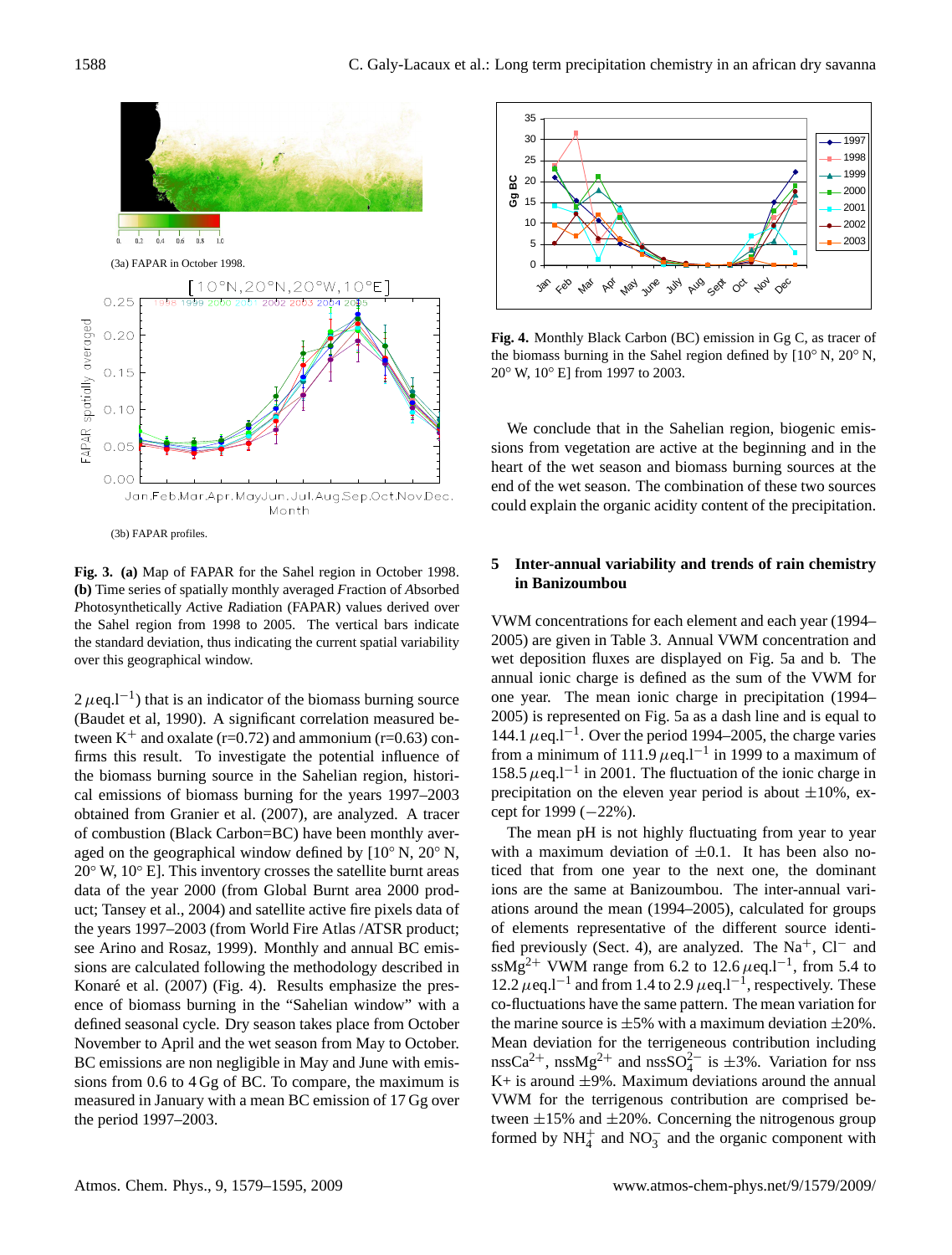

(b) Time series of spatially monthly averaged *Fraction of Absorbed* Photosynthetically Active Radiation (FAPAR) values derived over the Sahel region from 1998 to 2005. The vertical bars indicate the standard deviation, thus indicating the current spatial variability **Fig. 3. (a)** Map of FAPAR for the Sahel region in October 1998. over this geographical window.

 $2 \mu$ eq.l<sup>-1</sup>) that is an indicator of the biomass burning source (Baudet et al, 1990). A significant correlation measured between  $K^+$  and oxalate (r=0.72) and ammonium (r=0.63) confirms this result. To investigate the potential influence of the biomass burning source in the Sahelian region, historical emissions of biomass burning for the years 1997–2003 obtained from Granier et al. (2007), are analyzed. A tracer of combustion (Black Carbon=BC) have been monthly averaged on the geographical window defined by  $[10^{\circ} N, 20^{\circ} N,$  $20°$  W,  $10°$  E]. This inventory crosses the satellite burnt areas data of the year 2000 (from Global Burnt area 2000 product; Tansey et al., 2004) and satellite active fire pixels data of the years 1997–2003 (from World Fire Atlas /ATSR product; see Arino and Rosaz, 1999). Monthly and annual BC emissions are calculated following the methodology described in Konaré et al.  $(2007)$  (Fig. 4). Results emphasize the presence of biomass burning in the "Sahelian window" with a defined seasonal cycle. Dry season takes place from October November to April and the wet season from May to October. BC emissions are non negligible in May and June with emissions from 0.6 to 4 Gg of BC. To compare, the maximum is measured in January with a mean BC emission of 17 Gg over the period 1997–2003.



 $F_1^0$  W  $F_1^1$   $F_2^0$  Eq. (Figure 1007 to  $2003$ ) in Gg C, as tracer of the biomass burning in Gg C, as tracer of the biomass burning in Gg C, as tracer of the biomass burning in Gg C, as tracer of the biomass burning  $20°$  W,  $10°$  E] from 1997 to 2003. **Fig. 4.** Monthly Black Carbon (BC) emission in Gg C, as tracer of the biomass burning in the Sahel region defined by [10◦ N, 20◦ N,

We conclude that in the Sahelian region, biogenic emissions from vegetation are active at the beginning and in the heart of the wet season and biomass burning sources at the end of the wet season. The combination of these two sources could explain the organic acidity content of the precipitation.

### **5 Inter-annual variability and trends of rain chemistry in Banizoumbou**

VWM concentrations for each element and each year (1994– 2005) are given in Table 3. Annual VWM concentration and wet deposition fluxes are displayed on Fig. 5a and b. The annual ionic charge is defined as the sum of the VWM for one year. The mean ionic charge in precipitation (1994– 2005) is represented on Fig. 5a as a dash line and is equal to 144.1  $\mu$ eq.l<sup>-1</sup>. Over the period 1994–2005, the charge varies from a minimum of 111.9  $\mu$ eq.l<sup>-1</sup> in 1999 to a maximum of 158.5  $\mu$ eq.l<sup>-1</sup> in 2001. The fluctuation of the ionic charge in precipitation on the eleven year period is about  $\pm 10\%$ , except for 1999 (−22%).

The mean pH is not highly fluctuating from year to year with a maximum deviation of  $\pm 0.1$ . It has been also noticed that from one year to the next one, the dominant ions are the same at Banizoumbou. The inter-annual variations around the mean (1994–2005), calculated for groups of elements representative of the different source identified previously (Sect. 4), are analyzed. The Na<sup>+</sup>, Cl<sup>−</sup> and ssMg<sup>2+</sup> VWM range from 6.2 to 12.6  $\mu$ eq.l<sup>-1</sup>, from 5.4 to 12.2 μeq.l<sup>-1</sup> and from 1.4 to 2.9 μeq.l<sup>-1</sup>, respectively. These co-fluctuations have the same pattern. The mean variation for the marine source is  $\pm 5\%$  with a maximum deviation  $\pm 20\%$ . Mean deviation for the terrigeneous contribution including nssCa<sup>2+</sup>, nssMg<sup>2+</sup> and nssSO<sub>4</sub><sup>2-</sup> is  $\pm$ 3%. Variation for nss  $K+$  is around  $\pm 9\%$ . Maximum deviations around the annual VWM for the terrigenous contribution are comprised between  $\pm 15$ % and  $\pm 20$ %. Concerning the nitrogenous group formed by  $NH_4^+$  and  $NO_3^-$  and the organic component with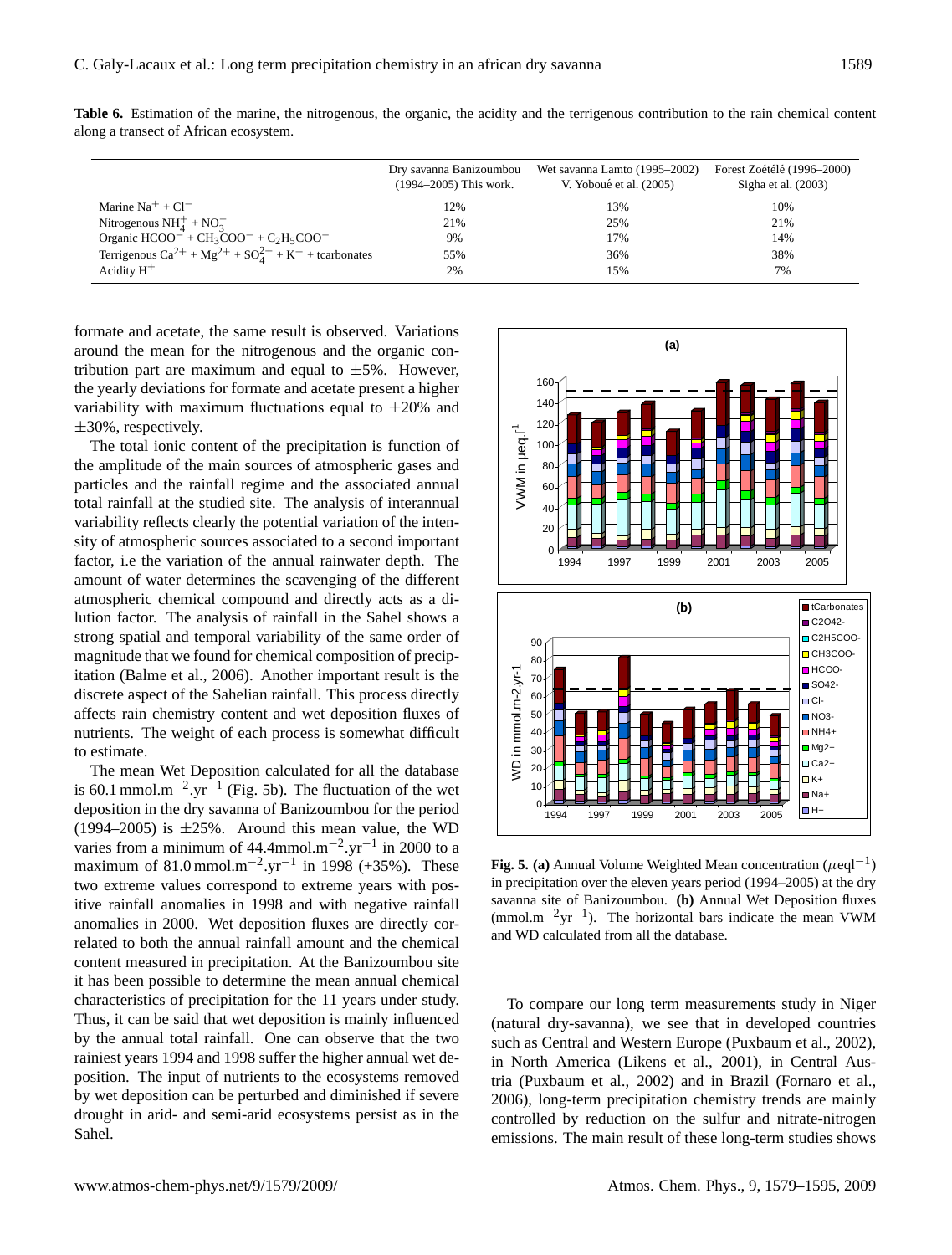|                                                                 | Dry savanna Banizoumbou<br>(1994–2005) This work. | Wet savanna Lamto (1995–2002)<br>V. Yoboué et al. (2005) | Forest Zoétélé (1996–2000)<br>Sigha et al. $(2003)$ |
|-----------------------------------------------------------------|---------------------------------------------------|----------------------------------------------------------|-----------------------------------------------------|
| Marine $Na^+ + Cl^-$                                            | 12%                                               | 13%                                                      | 10%                                                 |
| Nitrogenous $NH_4^+ + NO_3^-$                                   | 21%                                               | 25%                                                      | 21%                                                 |
| Organic $HCOO^{-} + CH_3COO^{-} + C_2H_5COO^{-}$                | 9%                                                | 17%                                                      | 14%                                                 |
| Terrigenous $Ca^{2+} + Mg^{2+} + SO_A^{2+} + K^+$ + tcarbonates | 55%                                               | 36%                                                      | 38%                                                 |
| Acidity $H^+$                                                   | 2%                                                | 15%                                                      | 7%                                                  |

**Table 6.** Estimation of the marine, the nitrogenous, the organic, the acidity and the terrigenous contribution to the rain chemical content along a transect of African ecosystem.

formate and acetate, the same result is observed. Variations around the mean for the nitrogenous and the organic contribution part are maximum and equal to  $\pm 5\%$ . However, the yearly deviations for formate and acetate present a higher variability with maximum fluctuations equal to  $\pm 20\%$  and ±30%, respectively.

The total ionic content of the precipitation is function of the amplitude of the main sources of atmospheric gases and particles and the rainfall regime and the associated annual total rainfall at the studied site. The analysis of interannual variability reflects clearly the potential variation of the intensity of atmospheric sources associated to a second important factor, i.e the variation of the annual rainwater depth. The amount of water determines the scavenging of the different atmospheric chemical compound and directly acts as a dilution factor. The analysis of rainfall in the Sahel shows a strong spatial and temporal variability of the same order of magnitude that we found for chemical composition of precipitation (Balme et al., 2006). Another important result is the discrete aspect of the Sahelian rainfall. This process directly affects rain chemistry content and wet deposition fluxes of nutrients. The weight of each process is somewhat difficult to estimate.

The mean Wet Deposition calculated for all the database is 60.1 mmol.m<sup>-2</sup>.yr<sup>-1</sup> (Fig. 5b). The fluctuation of the wet deposition in the dry savanna of Banizoumbou for the period (1994–2005) is  $\pm 25\%$ . Around this mean value, the WD varies from a minimum of 44.4mmol.m<sup>-2</sup>.yr<sup>-1</sup> in 2000 to a maximum of 81.0 mmol.m<sup>-2</sup>.yr<sup>-1</sup> in 1998 (+35%). These two extreme values correspond to extreme years with positive rainfall anomalies in 1998 and with negative rainfall anomalies in 2000. Wet deposition fluxes are directly correlated to both the annual rainfall amount and the chemical content measured in precipitation. At the Banizoumbou site it has been possible to determine the mean annual chemical characteristics of precipitation for the 11 years under study. Thus, it can be said that wet deposition is mainly influenced by the annual total rainfall. One can observe that the two rainiest years 1994 and 1998 suffer the higher annual wet deposition. The input of nutrients to the ecosystems removed by wet deposition can be perturbed and diminished if severe drought in arid- and semi-arid ecosystems persist as in the Sahel.



and WD calculated from all the database. **Fig. 5. (a)** Annual Volume Weighted Mean concentration ( $\mu$ eql<sup>-1</sup>) in precipitation over the eleven years period (1994–2005) at the dry savanna site of Banizoumbou. **(b)** Annual Wet Deposition fluxes (mmol.m−2yr−<sup>1</sup> ). The horizontal bars indicate the mean VWM

To compare our long term measurements study in Niger (natural dry-savanna), we see that in developed countries such as Central and Western Europe (Puxbaum et al., 2002), in North America (Likens et al., 2001), in Central Austria (Puxbaum et al., 2002) and in Brazil (Fornaro et al., 2006), long-term precipitation chemistry trends are mainly controlled by reduction on the sulfur and nitrate-nitrogen emissions. The main result of these long-term studies shows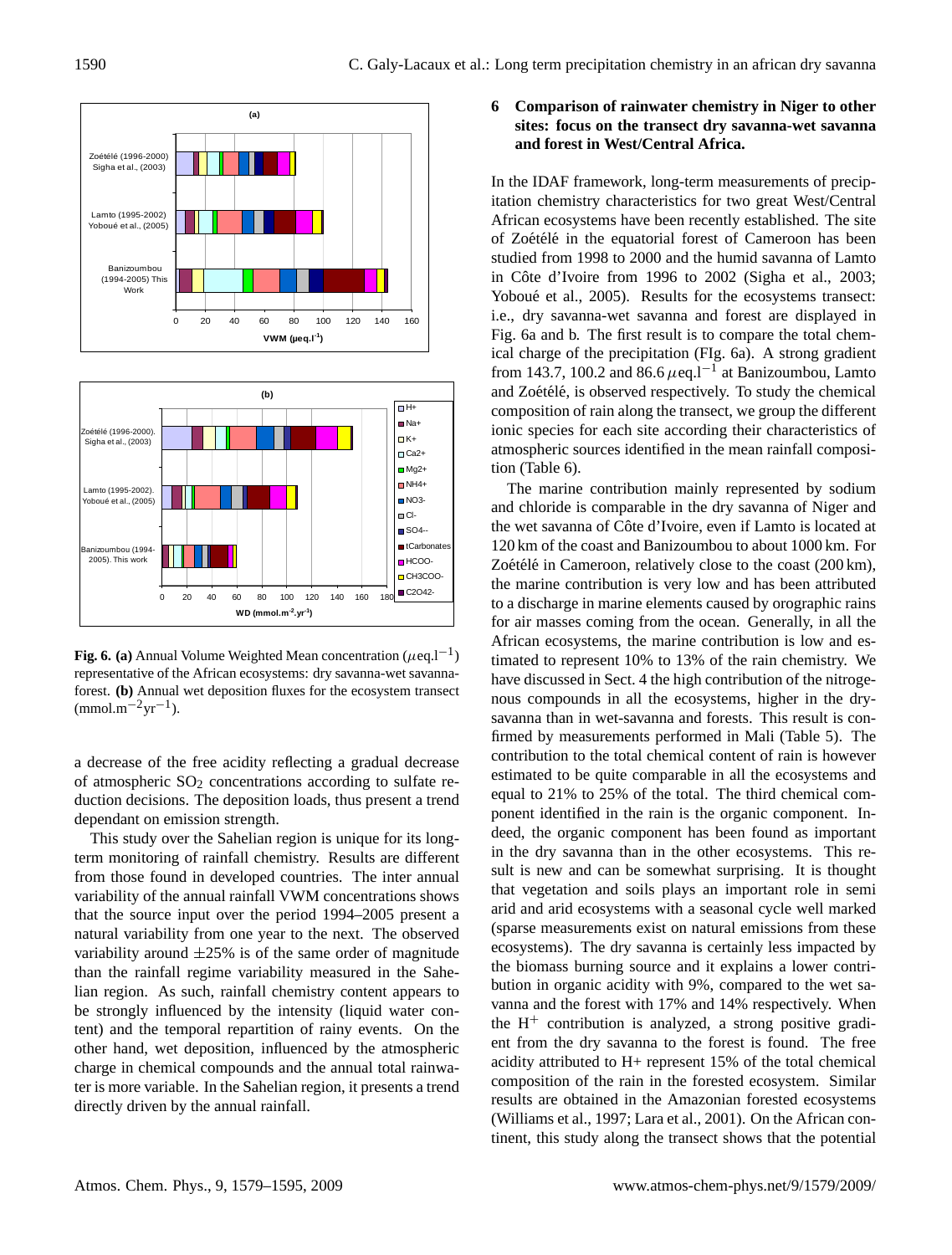



Fig. 6. (a) Annual Volume Weighted Mean concentration ( $\mu$ eq. $l^{-1}$ ) representative of the African ecosystems: dry savanna-wet savannaforest. **(b)** Annual wet deposition fluxes for the ecosystem transect  $\text{(mmol.m}^{-2}\text{yr}^{-1})$ .

a decrease of the free acidity reflecting a gradual decrease of atmospheric  $SO<sub>2</sub>$  concentrations according to sulfate reduction decisions. The deposition loads, thus present a trend dependant on emission strength.

This study over the Sahelian region is unique for its longterm monitoring of rainfall chemistry. Results are different from those found in developed countries. The inter annual variability of the annual rainfall VWM concentrations shows that the source input over the period 1994–2005 present a natural variability from one year to the next. The observed variability around  $\pm 25\%$  is of the same order of magnitude than the rainfall regime variability measured in the Sahelian region. As such, rainfall chemistry content appears to be strongly influenced by the intensity (liquid water content) and the temporal repartition of rainy events. On the other hand, wet deposition, influenced by the atmospheric charge in chemical compounds and the annual total rainwater is more variable. In the Sahelian region, it presents a trend directly driven by the annual rainfall.

## **6 Comparison of rainwater chemistry in Niger to other sites: focus on the transect dry savanna-wet savanna and forest in West/Central Africa.**

In the IDAF framework, long-term measurements of precipitation chemistry characteristics for two great West/Central African ecosystems have been recently established. The site of Zoétélé in the equatorial forest of Cameroon has been studied from 1998 to 2000 and the humid savanna of Lamto in Côte d'Ivoire from 1996 to  $2002$  (Sigha et al.,  $2003$ ; Yoboué et al., 2005). Results for the ecosystems transect: i.e., dry savanna-wet savanna and forest are displayed in Fig. 6a and b. The first result is to compare the total chemical charge of the precipitation (FIg. 6a). A strong gradient from 143.7, 100.2 and 86.6  $\mu$ eq.l<sup>-1</sup> at Banizoumbou, Lamto and Zoétélé, is observed respectively. To study the chemical composition of rain along the transect, we group the different ionic species for each site according their characteristics of atmospheric sources identified in the mean rainfall composition (Table 6).

The marine contribution mainly represented by sodium and chloride is comparable in the dry savanna of Niger and the wet savanna of Côte d'Ivoire, even if Lamto is located at 120 km of the coast and Banizoumbou to about 1000 km. For Zoétélé in Cameroon, relatively close to the coast  $(200 \text{ km})$ , the marine contribution is very low and has been attributed to a discharge in marine elements caused by orographic rains for air masses coming from the ocean. Generally, in all the African ecosystems, the marine contribution is low and estimated to represent 10% to 13% of the rain chemistry. We have discussed in Sect. 4 the high contribution of the nitrogenous compounds in all the ecosystems, higher in the drysavanna than in wet-savanna and forests. This result is confirmed by measurements performed in Mali (Table 5). The contribution to the total chemical content of rain is however estimated to be quite comparable in all the ecosystems and equal to 21% to 25% of the total. The third chemical component identified in the rain is the organic component. Indeed, the organic component has been found as important in the dry savanna than in the other ecosystems. This result is new and can be somewhat surprising. It is thought that vegetation and soils plays an important role in semi arid and arid ecosystems with a seasonal cycle well marked (sparse measurements exist on natural emissions from these ecosystems). The dry savanna is certainly less impacted by the biomass burning source and it explains a lower contribution in organic acidity with 9%, compared to the wet savanna and the forest with 17% and 14% respectively. When the  $H^+$  contribution is analyzed, a strong positive gradient from the dry savanna to the forest is found. The free acidity attributed to H+ represent 15% of the total chemical composition of the rain in the forested ecosystem. Similar results are obtained in the Amazonian forested ecosystems (Williams et al., 1997; Lara et al., 2001). On the African continent, this study along the transect shows that the potential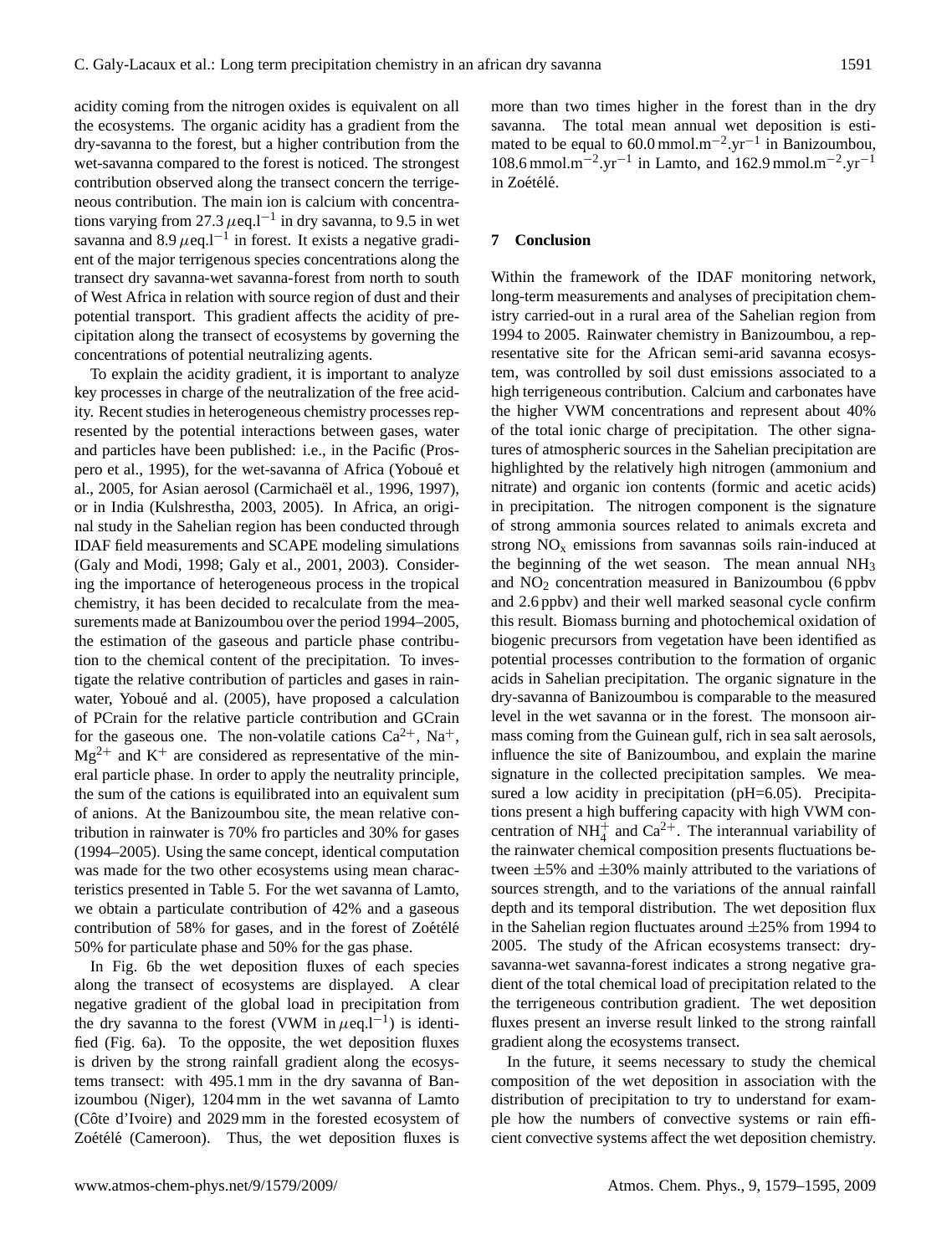acidity coming from the nitrogen oxides is equivalent on all the ecosystems. The organic acidity has a gradient from the dry-savanna to the forest, but a higher contribution from the wet-savanna compared to the forest is noticed. The strongest contribution observed along the transect concern the terrigeneous contribution. The main ion is calcium with concentrations varying from 27.3  $\mu$ eq.l<sup>-1</sup> in dry savanna, to 9.5 in wet savanna and  $8.9 \mu$ eq.l<sup>-1</sup> in forest. It exists a negative gradient of the major terrigenous species concentrations along the transect dry savanna-wet savanna-forest from north to south of West Africa in relation with source region of dust and their potential transport. This gradient affects the acidity of precipitation along the transect of ecosystems by governing the concentrations of potential neutralizing agents.

To explain the acidity gradient, it is important to analyze key processes in charge of the neutralization of the free acidity. Recent studies in heterogeneous chemistry processes represented by the potential interactions between gases, water and particles have been published: i.e., in the Pacific (Prospero et al., 1995), for the wet-savanna of Africa (Yoboué et al., 2005, for Asian aerosol (Carmichael et al., 1996, 1997), or in India (Kulshrestha, 2003, 2005). In Africa, an original study in the Sahelian region has been conducted through IDAF field measurements and SCAPE modeling simulations (Galy and Modi, 1998; Galy et al., 2001, 2003). Considering the importance of heterogeneous process in the tropical chemistry, it has been decided to recalculate from the measurements made at Banizoumbou over the period 1994–2005, the estimation of the gaseous and particle phase contribution to the chemical content of the precipitation. To investigate the relative contribution of particles and gases in rainwater, Yoboué and al. (2005), have proposed a calculation of PCrain for the relative particle contribution and GCrain for the gaseous one. The non-volatile cations  $Ca^{2+}$ , Na<sup>+</sup>,  $Mg^{2+}$  and K<sup>+</sup> are considered as representative of the mineral particle phase. In order to apply the neutrality principle, the sum of the cations is equilibrated into an equivalent sum of anions. At the Banizoumbou site, the mean relative contribution in rainwater is 70% fro particles and 30% for gases (1994–2005). Using the same concept, identical computation was made for the two other ecosystems using mean characteristics presented in Table 5. For the wet savanna of Lamto, we obtain a particulate contribution of 42% and a gaseous contribution of 58% for gases, and in the forest of Zoetele 50% for particulate phase and 50% for the gas phase.

In Fig. 6b the wet deposition fluxes of each species along the transect of ecosystems are displayed. A clear negative gradient of the global load in precipitation from the dry savanna to the forest (VWM in  $\mu$ eq.l<sup>-1</sup>) is identified (Fig. 6a). To the opposite, the wet deposition fluxes is driven by the strong rainfall gradient along the ecosystems transect: with 495.1 mm in the dry savanna of Banizoumbou (Niger), 1204 mm in the wet savanna of Lamto (Côte d'Ivoire) and 2029 mm in the forested ecosystem of Zoétélé (Cameroon). Thus, the wet deposition fluxes is more than two times higher in the forest than in the dry savanna. The total mean annual wet deposition is estimated to be equal to  $60.0 \text{ mmol.m}^{-2}.\text{yr}^{-1}$  in Banizoumbou, 108.6 mmol.m<sup>-2</sup>.yr<sup>-1</sup> in Lamto, and 162.9 mmol.m<sup>-2</sup>.yr<sup>-1</sup> in Zoétélé.

#### **7 Conclusion**

Within the framework of the IDAF monitoring network, long-term measurements and analyses of precipitation chemistry carried-out in a rural area of the Sahelian region from 1994 to 2005. Rainwater chemistry in Banizoumbou, a representative site for the African semi-arid savanna ecosystem, was controlled by soil dust emissions associated to a high terrigeneous contribution. Calcium and carbonates have the higher VWM concentrations and represent about 40% of the total ionic charge of precipitation. The other signatures of atmospheric sources in the Sahelian precipitation are highlighted by the relatively high nitrogen (ammonium and nitrate) and organic ion contents (formic and acetic acids) in precipitation. The nitrogen component is the signature of strong ammonia sources related to animals excreta and strong  $NO<sub>x</sub>$  emissions from savannas soils rain-induced at the beginning of the wet season. The mean annual  $NH<sub>3</sub>$ and  $NO<sub>2</sub>$  concentration measured in Banizoumbou (6 ppbv and 2.6 ppbv) and their well marked seasonal cycle confirm this result. Biomass burning and photochemical oxidation of biogenic precursors from vegetation have been identified as potential processes contribution to the formation of organic acids in Sahelian precipitation. The organic signature in the dry-savanna of Banizoumbou is comparable to the measured level in the wet savanna or in the forest. The monsoon airmass coming from the Guinean gulf, rich in sea salt aerosols, influence the site of Banizoumbou, and explain the marine signature in the collected precipitation samples. We measured a low acidity in precipitation (pH=6.05). Precipitations present a high buffering capacity with high VWM concentration of NH<sub>4</sub><sup>+</sup> and Ca<sup>2+</sup>. The interannual variability of the rainwater chemical composition presents fluctuations between  $\pm 5\%$  and  $\pm 30\%$  mainly attributed to the variations of sources strength, and to the variations of the annual rainfall depth and its temporal distribution. The wet deposition flux in the Sahelian region fluctuates around  $\pm 25\%$  from 1994 to 2005. The study of the African ecosystems transect: drysavanna-wet savanna-forest indicates a strong negative gradient of the total chemical load of precipitation related to the the terrigeneous contribution gradient. The wet deposition fluxes present an inverse result linked to the strong rainfall gradient along the ecosystems transect.

In the future, it seems necessary to study the chemical composition of the wet deposition in association with the distribution of precipitation to try to understand for example how the numbers of convective systems or rain efficient convective systems affect the wet deposition chemistry.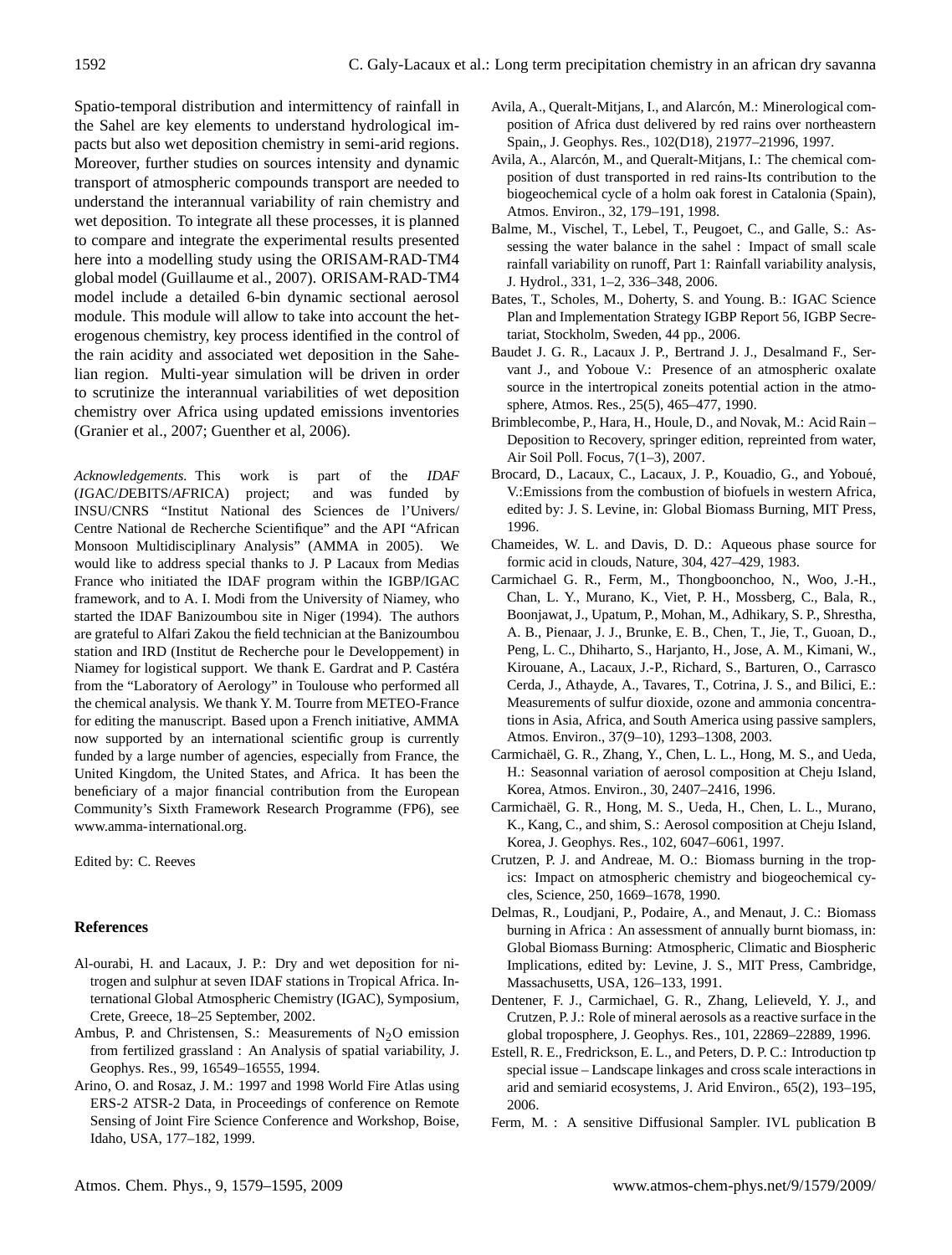Spatio-temporal distribution and intermittency of rainfall in the Sahel are key elements to understand hydrological impacts but also wet deposition chemistry in semi-arid regions. Moreover, further studies on sources intensity and dynamic transport of atmospheric compounds transport are needed to understand the interannual variability of rain chemistry and wet deposition. To integrate all these processes, it is planned to compare and integrate the experimental results presented here into a modelling study using the ORISAM-RAD-TM4 global model (Guillaume et al., 2007). ORISAM-RAD-TM4 model include a detailed 6-bin dynamic sectional aerosol module. This module will allow to take into account the heterogenous chemistry, key process identified in the control of the rain acidity and associated wet deposition in the Sahelian region. Multi-year simulation will be driven in order to scrutinize the interannual variabilities of wet deposition chemistry over Africa using updated emissions inventories (Granier et al., 2007; Guenther et al, 2006).

*Acknowledgements.* This work is part of the *IDAF* (*I*GAC/*D*EBITS/*AF*RICA) project; and was funded by INSU/CNRS "Institut National des Sciences de l'Univers/ Centre National de Recherche Scientifique" and the API "African Monsoon Multidisciplinary Analysis" (AMMA in 2005). We would like to address special thanks to J. P Lacaux from Medias France who initiated the IDAF program within the IGBP/IGAC framework, and to A. I. Modi from the University of Niamey, who started the IDAF Banizoumbou site in Niger (1994). The authors are grateful to Alfari Zakou the field technician at the Banizoumbou station and IRD (Institut de Recherche pour le Developpement) in Niamey for logistical support. We thank E. Gardrat and P. Castéra from the "Laboratory of Aerology" in Toulouse who performed all the chemical analysis. We thank Y. M. Tourre from METEO-France for editing the manuscript. Based upon a French initiative, AMMA now supported by an international scientific group is currently funded by a large number of agencies, especially from France, the United Kingdom, the United States, and Africa. It has been the beneficiary of a major financial contribution from the European Community's Sixth Framework Research Programme (FP6), see [www.amma-international.org.](www.amma-international.org)

Edited by: C. Reeves

## **References**

- Al-ourabi, H. and Lacaux, J. P.: Dry and wet deposition for nitrogen and sulphur at seven IDAF stations in Tropical Africa. International Global Atmospheric Chemistry (IGAC), Symposium, Crete, Greece, 18–25 September, 2002.
- Ambus, P. and Christensen, S.: Measurements of  $N_2O$  emission from fertilized grassland : An Analysis of spatial variability, J. Geophys. Res., 99, 16549–16555, 1994.
- Arino, O. and Rosaz, J. M.: 1997 and 1998 World Fire Atlas using ERS-2 ATSR-2 Data, in Proceedings of conference on Remote Sensing of Joint Fire Science Conference and Workshop, Boise, Idaho, USA, 177–182, 1999.
- Avila, A., Queralt-Mitjans, I., and Alarcón, M.: Minerological composition of Africa dust delivered by red rains over northeastern Spain,, J. Geophys. Res., 102(D18), 21977–21996, 1997.
- Avila, A., Alarcón, M., and Queralt-Mitjans, I.: The chemical composition of dust transported in red rains-Its contribution to the biogeochemical cycle of a holm oak forest in Catalonia (Spain), Atmos. Environ., 32, 179–191, 1998.
- Balme, M., Vischel, T., Lebel, T., Peugoet, C., and Galle, S.: Assessing the water balance in the sahel : Impact of small scale rainfall variability on runoff, Part 1: Rainfall variability analysis, J. Hydrol., 331, 1–2, 336–348, 2006.
- Bates, T., Scholes, M., Doherty, S. and Young. B.: IGAC Science Plan and Implementation Strategy IGBP Report 56, IGBP Secretariat, Stockholm, Sweden, 44 pp., 2006.
- Baudet J. G. R., Lacaux J. P., Bertrand J. J., Desalmand F., Servant J., and Yoboue V.: Presence of an atmospheric oxalate source in the intertropical zoneits potential action in the atmosphere, Atmos. Res., 25(5), 465–477, 1990.
- Brimblecombe, P., Hara, H., Houle, D., and Novak, M.: Acid Rain Deposition to Recovery, springer edition, repreinted from water, Air Soil Poll. Focus, 7(1–3), 2007.
- Brocard, D., Lacaux, C., Lacaux, J. P., Kouadio, G., and Yoboué, V.:Emissions from the combustion of biofuels in western Africa, edited by: J. S. Levine, in: Global Biomass Burning, MIT Press, 1996.
- Chameides, W. L. and Davis, D. D.: Aqueous phase source for formic acid in clouds, Nature, 304, 427–429, 1983.
- Carmichael G. R., Ferm, M., Thongboonchoo, N., Woo, J.-H., Chan, L. Y., Murano, K., Viet, P. H., Mossberg, C., Bala, R., Boonjawat, J., Upatum, P., Mohan, M., Adhikary, S. P., Shrestha, A. B., Pienaar, J. J., Brunke, E. B., Chen, T., Jie, T., Guoan, D., Peng, L. C., Dhiharto, S., Harjanto, H., Jose, A. M., Kimani, W., Kirouane, A., Lacaux, J.-P., Richard, S., Barturen, O., Carrasco Cerda, J., Athayde, A., Tavares, T., Cotrina, J. S., and Bilici, E.: Measurements of sulfur dioxide, ozone and ammonia concentrations in Asia, Africa, and South America using passive samplers, Atmos. Environ., 37(9–10), 1293–1308, 2003.
- Carmichaël, G. R., Zhang, Y., Chen, L. L., Hong, M. S., and Ueda, H.: Seasonnal variation of aerosol composition at Cheju Island, Korea, Atmos. Environ., 30, 2407–2416, 1996.
- Carmichael, G. R., Hong, M. S., Ueda, H., Chen, L. L., Murano, ¨ K., Kang, C., and shim, S.: Aerosol composition at Cheju Island, Korea, J. Geophys. Res., 102, 6047–6061, 1997.
- Crutzen, P. J. and Andreae, M. O.: Biomass burning in the tropics: Impact on atmospheric chemistry and biogeochemical cycles, Science, 250, 1669–1678, 1990.
- Delmas, R., Loudjani, P., Podaire, A., and Menaut, J. C.: Biomass burning in Africa : An assessment of annually burnt biomass, in: Global Biomass Burning: Atmospheric, Climatic and Biospheric Implications, edited by: Levine, J. S., MIT Press, Cambridge, Massachusetts, USA, 126–133, 1991.
- Dentener, F. J., Carmichael, G. R., Zhang, Lelieveld, Y. J., and Crutzen, P. J.: Role of mineral aerosols as a reactive surface in the global troposphere, J. Geophys. Res., 101, 22869–22889, 1996.
- Estell, R. E., Fredrickson, E. L., and Peters, D. P. C.: Introduction tp special issue – Landscape linkages and cross scale interactions in arid and semiarid ecosystems, J. Arid Environ., 65(2), 193–195, 2006.
- Ferm, M. : A sensitive Diffusional Sampler. IVL publication B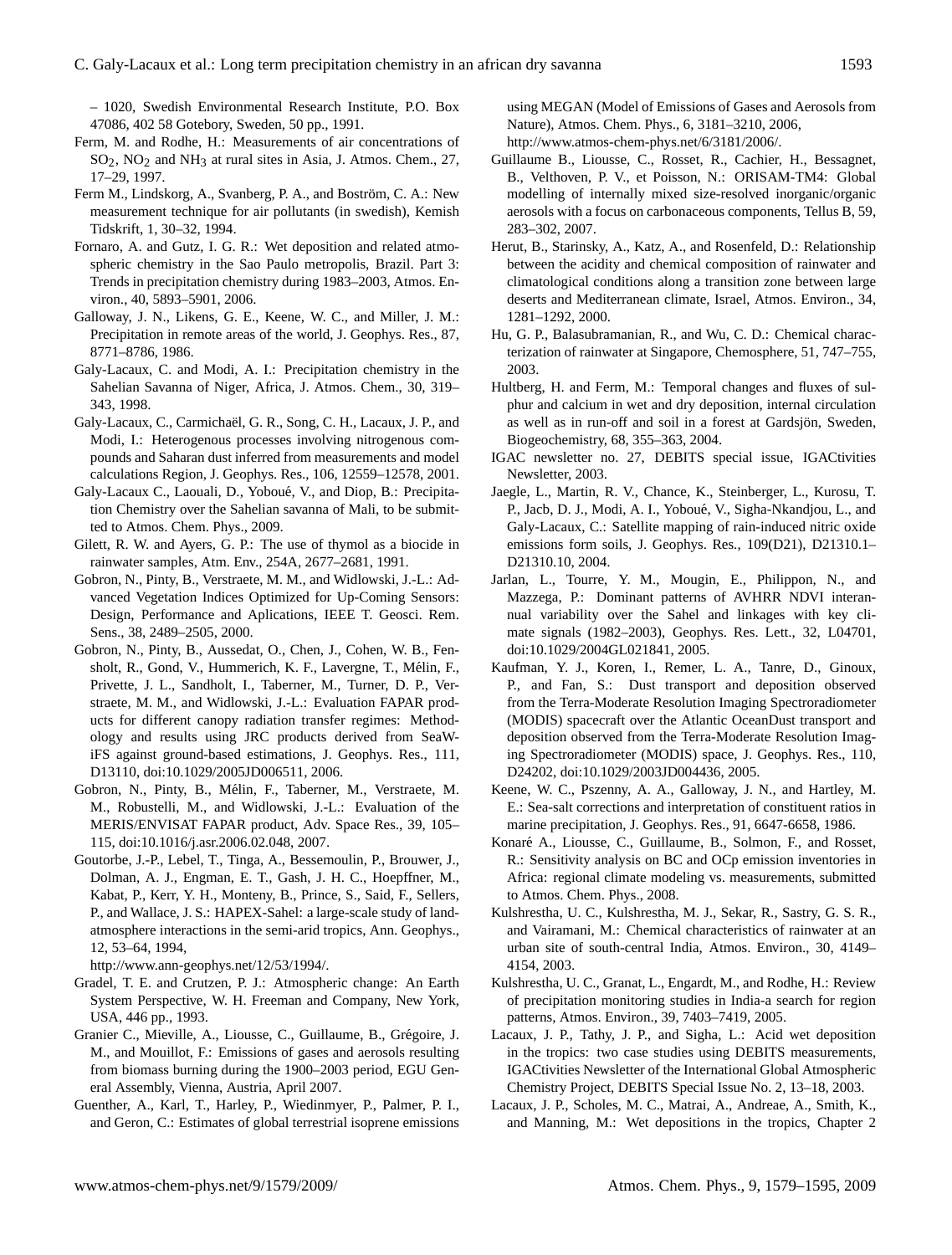– 1020, Swedish Environmental Research Institute, P.O. Box 47086, 402 58 Gotebory, Sweden, 50 pp., 1991.

- Ferm, M. and Rodhe, H.: Measurements of air concentrations of  $SO<sub>2</sub>$ , NO<sub>2</sub> and NH<sub>3</sub> at rural sites in Asia, J. Atmos. Chem., 27, 17–29, 1997.
- Ferm M., Lindskorg, A., Svanberg, P. A., and Boström, C. A.: New measurement technique for air pollutants (in swedish), Kemish Tidskrift, 1, 30–32, 1994.
- Fornaro, A. and Gutz, I. G. R.: Wet deposition and related atmospheric chemistry in the Sao Paulo metropolis, Brazil. Part 3: Trends in precipitation chemistry during 1983–2003, Atmos. Environ., 40, 5893–5901, 2006.
- Galloway, J. N., Likens, G. E., Keene, W. C., and Miller, J. M.: Precipitation in remote areas of the world, J. Geophys. Res., 87, 8771–8786, 1986.
- Galy-Lacaux, C. and Modi, A. I.: Precipitation chemistry in the Sahelian Savanna of Niger, Africa, J. Atmos. Chem., 30, 319– 343, 1998.
- Galy-Lacaux, C., Carmichaël, G. R., Song, C. H., Lacaux, J. P., and Modi, I.: Heterogenous processes involving nitrogenous compounds and Saharan dust inferred from measurements and model calculations Region, J. Geophys. Res., 106, 12559–12578, 2001.
- Galy-Lacaux C., Laouali, D., Yoboué, V., and Diop, B.: Precipitation Chemistry over the Sahelian savanna of Mali, to be submitted to Atmos. Chem. Phys., 2009.
- Gilett, R. W. and Ayers, G. P.: The use of thymol as a biocide in rainwater samples, Atm. Env., 254A, 2677–2681, 1991.
- Gobron, N., Pinty, B., Verstraete, M. M., and Widlowski, J.-L.: Advanced Vegetation Indices Optimized for Up-Coming Sensors: Design, Performance and Aplications, IEEE T. Geosci. Rem. Sens., 38, 2489–2505, 2000.
- Gobron, N., Pinty, B., Aussedat, O., Chen, J., Cohen, W. B., Fensholt, R., Gond, V., Hummerich, K. F., Lavergne, T., Mélin, F., Privette, J. L., Sandholt, I., Taberner, M., Turner, D. P., Verstraete, M. M., and Widlowski, J.-L.: Evaluation FAPAR products for different canopy radiation transfer regimes: Methodology and results using JRC products derived from SeaWiFS against ground-based estimations, J. Geophys. Res., 111, D13110, doi:10.1029/2005JD006511, 2006.
- Gobron, N., Pinty, B., Melin, F., Taberner, M., Verstraete, M. ´ M., Robustelli, M., and Widlowski, J.-L.: Evaluation of the MERIS/ENVISAT FAPAR product, Adv. Space Res., 39, 105– 115, doi:10.1016/j.asr.2006.02.048, 2007.
- Goutorbe, J.-P., Lebel, T., Tinga, A., Bessemoulin, P., Brouwer, J., Dolman, A. J., Engman, E. T., Gash, J. H. C., Hoepffner, M., Kabat, P., Kerr, Y. H., Monteny, B., Prince, S., Said, F., Sellers, P., and Wallace, J. S.: HAPEX-Sahel: a large-scale study of landatmosphere interactions in the semi-arid tropics, Ann. Geophys., 12, 53–64, 1994,
- [http://www.ann-geophys.net/12/53/1994/.](http://www.ann-geophys.net/12/53/1994/)
- Gradel, T. E. and Crutzen, P. J.: Atmospheric change: An Earth System Perspective, W. H. Freeman and Company, New York, USA, 446 pp., 1993.
- Granier C., Mieville, A., Liousse, C., Guillaume, B., Grégoire, J. M., and Mouillot, F.: Emissions of gases and aerosols resulting from biomass burning during the 1900–2003 period, EGU General Assembly, Vienna, Austria, April 2007.
- Guenther, A., Karl, T., Harley, P., Wiedinmyer, P., Palmer, P. I., and Geron, C.: Estimates of global terrestrial isoprene emissions

using MEGAN (Model of Emissions of Gases and Aerosols from Nature), Atmos. Chem. Phys., 6, 3181–3210, 2006, [http://www.atmos-chem-phys.net/6/3181/2006/.](http://www.atmos-chem-phys.net/6/3181/2006/)

- Guillaume B., Liousse, C., Rosset, R., Cachier, H., Bessagnet, B., Velthoven, P. V., et Poisson, N.: ORISAM-TM4: Global modelling of internally mixed size-resolved inorganic/organic aerosols with a focus on carbonaceous components, Tellus B, 59, 283–302, 2007.
- Herut, B., Starinsky, A., Katz, A., and Rosenfeld, D.: Relationship between the acidity and chemical composition of rainwater and climatological conditions along a transition zone between large deserts and Mediterranean climate, Israel, Atmos. Environ., 34, 1281–1292, 2000.
- Hu, G. P., Balasubramanian, R., and Wu, C. D.: Chemical characterization of rainwater at Singapore, Chemosphere, 51, 747–755, 2003.
- Hultberg, H. and Ferm, M.: Temporal changes and fluxes of sulphur and calcium in wet and dry deposition, internal circulation as well as in run-off and soil in a forest at Gardsjön, Sweden, Biogeochemistry, 68, 355–363, 2004.
- IGAC newsletter no. 27, DEBITS special issue, IGACtivities Newsletter, 2003.
- Jaegle, L., Martin, R. V., Chance, K., Steinberger, L., Kurosu, T. P., Jacb, D. J., Modi, A. I., Yoboue, V., Sigha-Nkandjou, L., and ´ Galy-Lacaux, C.: Satellite mapping of rain-induced nitric oxide emissions form soils, J. Geophys. Res., 109(D21), D21310.1– D21310.10, 2004.
- Jarlan, L., Tourre, Y. M., Mougin, E., Philippon, N., and Mazzega, P.: Dominant patterns of AVHRR NDVI interannual variability over the Sahel and linkages with key climate signals (1982–2003), Geophys. Res. Lett., 32, L04701, doi:10.1029/2004GL021841, 2005.
- Kaufman, Y. J., Koren, I., Remer, L. A., Tanre, D., Ginoux, P., and Fan, S.: Dust transport and deposition observed from the Terra-Moderate Resolution Imaging Spectroradiometer (MODIS) spacecraft over the Atlantic OceanDust transport and deposition observed from the Terra-Moderate Resolution Imaging Spectroradiometer (MODIS) space, J. Geophys. Res., 110, D24202, doi:10.1029/2003JD004436, 2005.
- Keene, W. C., Pszenny, A. A., Galloway, J. N., and Hartley, M. E.: Sea-salt corrections and interpretation of constituent ratios in marine precipitation, J. Geophys. Res., 91, 6647-6658, 1986.
- Konaré A., Liousse, C., Guillaume, B., Solmon, F., and Rosset, R.: Sensitivity analysis on BC and OCp emission inventories in Africa: regional climate modeling vs. measurements, submitted to Atmos. Chem. Phys., 2008.
- Kulshrestha, U. C., Kulshrestha, M. J., Sekar, R., Sastry, G. S. R., and Vairamani, M.: Chemical characteristics of rainwater at an urban site of south-central India, Atmos. Environ., 30, 4149– 4154, 2003.
- Kulshrestha, U. C., Granat, L., Engardt, M., and Rodhe, H.: Review of precipitation monitoring studies in India-a search for region patterns, Atmos. Environ., 39, 7403–7419, 2005.
- Lacaux, J. P., Tathy, J. P., and Sigha, L.: Acid wet deposition in the tropics: two case studies using DEBITS measurements, IGACtivities Newsletter of the International Global Atmospheric Chemistry Project, DEBITS Special Issue No. 2, 13–18, 2003.
- Lacaux, J. P., Scholes, M. C., Matrai, A., Andreae, A., Smith, K., and Manning, M.: Wet depositions in the tropics, Chapter 2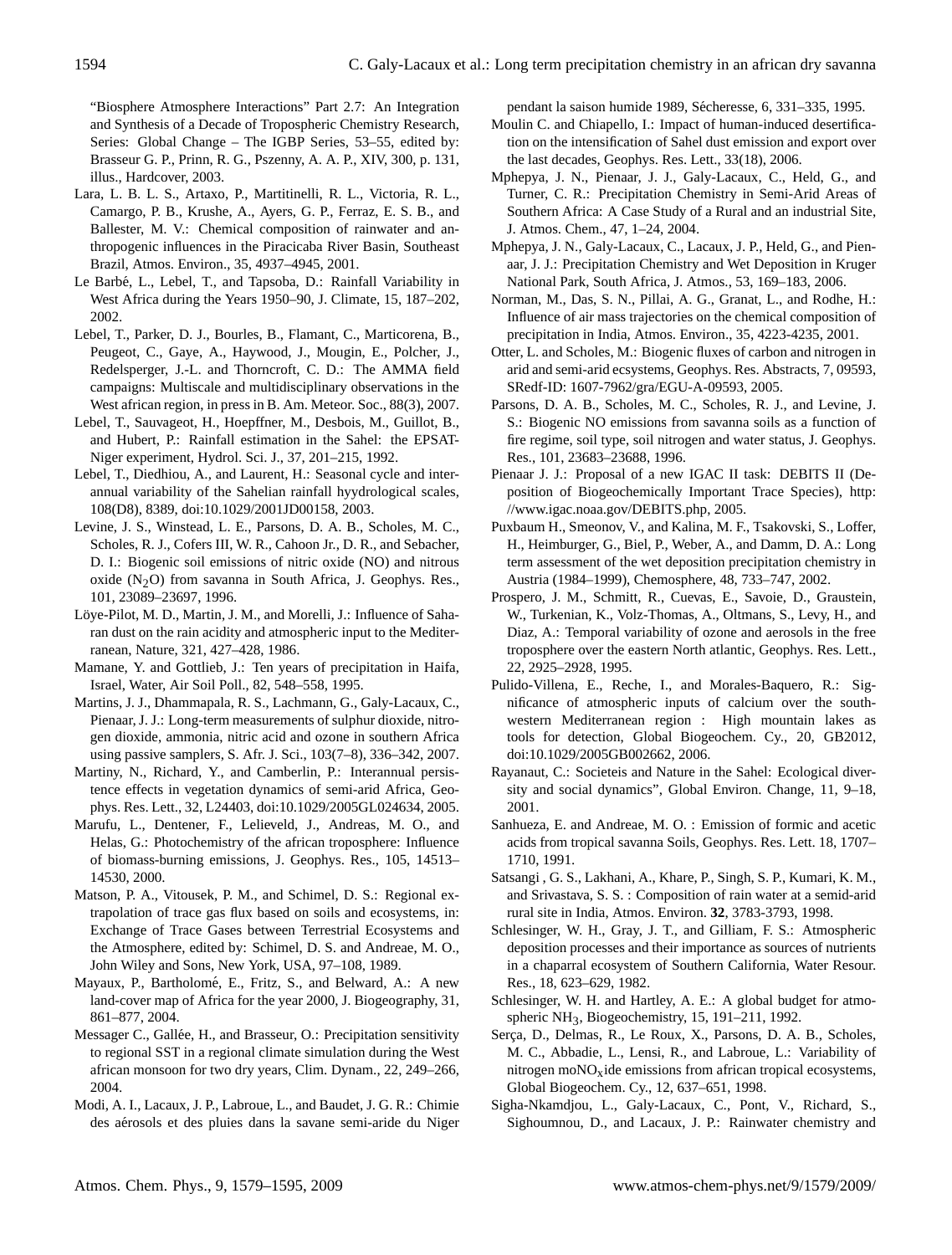"Biosphere Atmosphere Interactions" Part 2.7: An Integration and Synthesis of a Decade of Tropospheric Chemistry Research, Series: Global Change – The IGBP Series, 53–55, edited by: Brasseur G. P., Prinn, R. G., Pszenny, A. A. P., XIV, 300, p. 131, illus., Hardcover, 2003.

- Lara, L. B. L. S., Artaxo, P., Martitinelli, R. L., Victoria, R. L., Camargo, P. B., Krushe, A., Ayers, G. P., Ferraz, E. S. B., and Ballester, M. V.: Chemical composition of rainwater and anthropogenic influences in the Piracicaba River Basin, Southeast Brazil, Atmos. Environ., 35, 4937–4945, 2001.
- Le Barbé, L., Lebel, T., and Tapsoba, D.: Rainfall Variability in West Africa during the Years 1950–90, J. Climate, 15, 187–202, 2002.
- Lebel, T., Parker, D. J., Bourles, B., Flamant, C., Marticorena, B., Peugeot, C., Gaye, A., Haywood, J., Mougin, E., Polcher, J., Redelsperger, J.-L. and Thorncroft, C. D.: The AMMA field campaigns: Multiscale and multidisciplinary observations in the West african region, in press in B. Am. Meteor. Soc., 88(3), 2007.
- Lebel, T., Sauvageot, H., Hoepffner, M., Desbois, M., Guillot, B., and Hubert, P.: Rainfall estimation in the Sahel: the EPSAT-Niger experiment, Hydrol. Sci. J., 37, 201–215, 1992.
- Lebel, T., Diedhiou, A., and Laurent, H.: Seasonal cycle and interannual variability of the Sahelian rainfall hyydrological scales, 108(D8), 8389, doi:10.1029/2001JD00158, 2003.
- Levine, J. S., Winstead, L. E., Parsons, D. A. B., Scholes, M. C., Scholes, R. J., Cofers III, W. R., Cahoon Jr., D. R., and Sebacher, D. I.: Biogenic soil emissions of nitric oxide (NO) and nitrous oxide  $(N_2O)$  from savanna in South Africa, J. Geophys. Res., 101, 23089–23697, 1996.
- Löye-Pilot, M. D., Martin, J. M., and Morelli, J.: Influence of Saharan dust on the rain acidity and atmospheric input to the Mediterranean, Nature, 321, 427–428, 1986.
- Mamane, Y. and Gottlieb, J.: Ten years of precipitation in Haifa, Israel, Water, Air Soil Poll., 82, 548–558, 1995.
- Martins, J. J., Dhammapala, R. S., Lachmann, G., Galy-Lacaux, C., Pienaar, J. J.: Long-term measurements of sulphur dioxide, nitrogen dioxide, ammonia, nitric acid and ozone in southern Africa using passive samplers, S. Afr. J. Sci., 103(7–8), 336–342, 2007.
- Martiny, N., Richard, Y., and Camberlin, P.: Interannual persistence effects in vegetation dynamics of semi-arid Africa, Geophys. Res. Lett., 32, L24403, doi:10.1029/2005GL024634, 2005.
- Marufu, L., Dentener, F., Lelieveld, J., Andreas, M. O., and Helas, G.: Photochemistry of the african troposphere: Influence of biomass-burning emissions, J. Geophys. Res., 105, 14513– 14530, 2000.
- Matson, P. A., Vitousek, P. M., and Schimel, D. S.: Regional extrapolation of trace gas flux based on soils and ecosystems, in: Exchange of Trace Gases between Terrestrial Ecosystems and the Atmosphere, edited by: Schimel, D. S. and Andreae, M. O., John Wiley and Sons, New York, USA, 97–108, 1989.
- Mayaux, P., Bartholomé, E., Fritz, S., and Belward, A.: A new land-cover map of Africa for the year 2000, J. Biogeography, 31, 861–877, 2004.
- Messager C., Gallée, H., and Brasseur, O.: Precipitation sensitivity to regional SST in a regional climate simulation during the West african monsoon for two dry years, Clim. Dynam., 22, 249–266, 2004.
- Modi, A. I., Lacaux, J. P., Labroue, L., and Baudet, J. G. R.: Chimie des aérosols et des pluies dans la savane semi-aride du Niger

pendant la saison humide 1989, Sécheresse, 6, 331-335, 1995.

- Moulin C. and Chiapello, I.: Impact of human-induced desertification on the intensification of Sahel dust emission and export over the last decades, Geophys. Res. Lett., 33(18), 2006.
- Mphepya, J. N., Pienaar, J. J., Galy-Lacaux, C., Held, G., and Turner, C. R.: Precipitation Chemistry in Semi-Arid Areas of Southern Africa: A Case Study of a Rural and an industrial Site, J. Atmos. Chem., 47, 1–24, 2004.
- Mphepya, J. N., Galy-Lacaux, C., Lacaux, J. P., Held, G., and Pienaar, J. J.: Precipitation Chemistry and Wet Deposition in Kruger National Park, South Africa, J. Atmos., 53, 169–183, 2006.
- Norman, M., Das, S. N., Pillai, A. G., Granat, L., and Rodhe, H.: Influence of air mass trajectories on the chemical composition of precipitation in India, Atmos. Environ., 35, 4223-4235, 2001.
- Otter, L. and Scholes, M.: Biogenic fluxes of carbon and nitrogen in arid and semi-arid ecsystems, Geophys. Res. Abstracts, 7, 09593, SRedf-ID: 1607-7962/gra/EGU-A-09593, 2005.
- Parsons, D. A. B., Scholes, M. C., Scholes, R. J., and Levine, J. S.: Biogenic NO emissions from savanna soils as a function of fire regime, soil type, soil nitrogen and water status, J. Geophys. Res., 101, 23683–23688, 1996.
- Pienaar J. J.: Proposal of a new IGAC II task: DEBITS II (Deposition of Biogeochemically Important Trace Species), [http:](http://www.igac.noaa.gov/DEBITS.php) [//www.igac.noaa.gov/DEBITS.php,](http://www.igac.noaa.gov/DEBITS.php) 2005.
- Puxbaum H., Smeonov, V., and Kalina, M. F., Tsakovski, S., Loffer, H., Heimburger, G., Biel, P., Weber, A., and Damm, D. A.: Long term assessment of the wet deposition precipitation chemistry in Austria (1984–1999), Chemosphere, 48, 733–747, 2002.
- Prospero, J. M., Schmitt, R., Cuevas, E., Savoie, D., Graustein, W., Turkenian, K., Volz-Thomas, A., Oltmans, S., Levy, H., and Diaz, A.: Temporal variability of ozone and aerosols in the free troposphere over the eastern North atlantic, Geophys. Res. Lett., 22, 2925–2928, 1995.
- Pulido-Villena, E., Reche, I., and Morales-Baquero, R.: Significance of atmospheric inputs of calcium over the southwestern Mediterranean region : High mountain lakes as tools for detection, Global Biogeochem. Cy., 20, GB2012, doi:10.1029/2005GB002662, 2006.
- Rayanaut, C.: Societeis and Nature in the Sahel: Ecological diversity and social dynamics", Global Environ. Change, 11, 9–18, 2001.
- Sanhueza, E. and Andreae, M. O. : Emission of formic and acetic acids from tropical savanna Soils, Geophys. Res. Lett. 18, 1707– 1710, 1991.
- Satsangi , G. S., Lakhani, A., Khare, P., Singh, S. P., Kumari, K. M., and Srivastava, S. S. : Composition of rain water at a semid-arid rural site in India, Atmos. Environ. **32**, 3783-3793, 1998.
- Schlesinger, W. H., Gray, J. T., and Gilliam, F. S.: Atmospheric deposition processes and their importance as sources of nutrients in a chaparral ecosystem of Southern California, Water Resour. Res., 18, 623–629, 1982.
- Schlesinger, W. H. and Hartley, A. E.: A global budget for atmospheric NH3, Biogeochemistry, 15, 191–211, 1992.
- Serça, D., Delmas, R., Le Roux, X., Parsons, D. A. B., Scholes, M. C., Abbadie, L., Lensi, R., and Labroue, L.: Variability of nitrogen mo $NO<sub>x</sub>$ ide emissions from african tropical ecosystems, Global Biogeochem. Cy., 12, 637–651, 1998.
- Sigha-Nkamdjou, L., Galy-Lacaux, C., Pont, V., Richard, S., Sighoumnou, D., and Lacaux, J. P.: Rainwater chemistry and